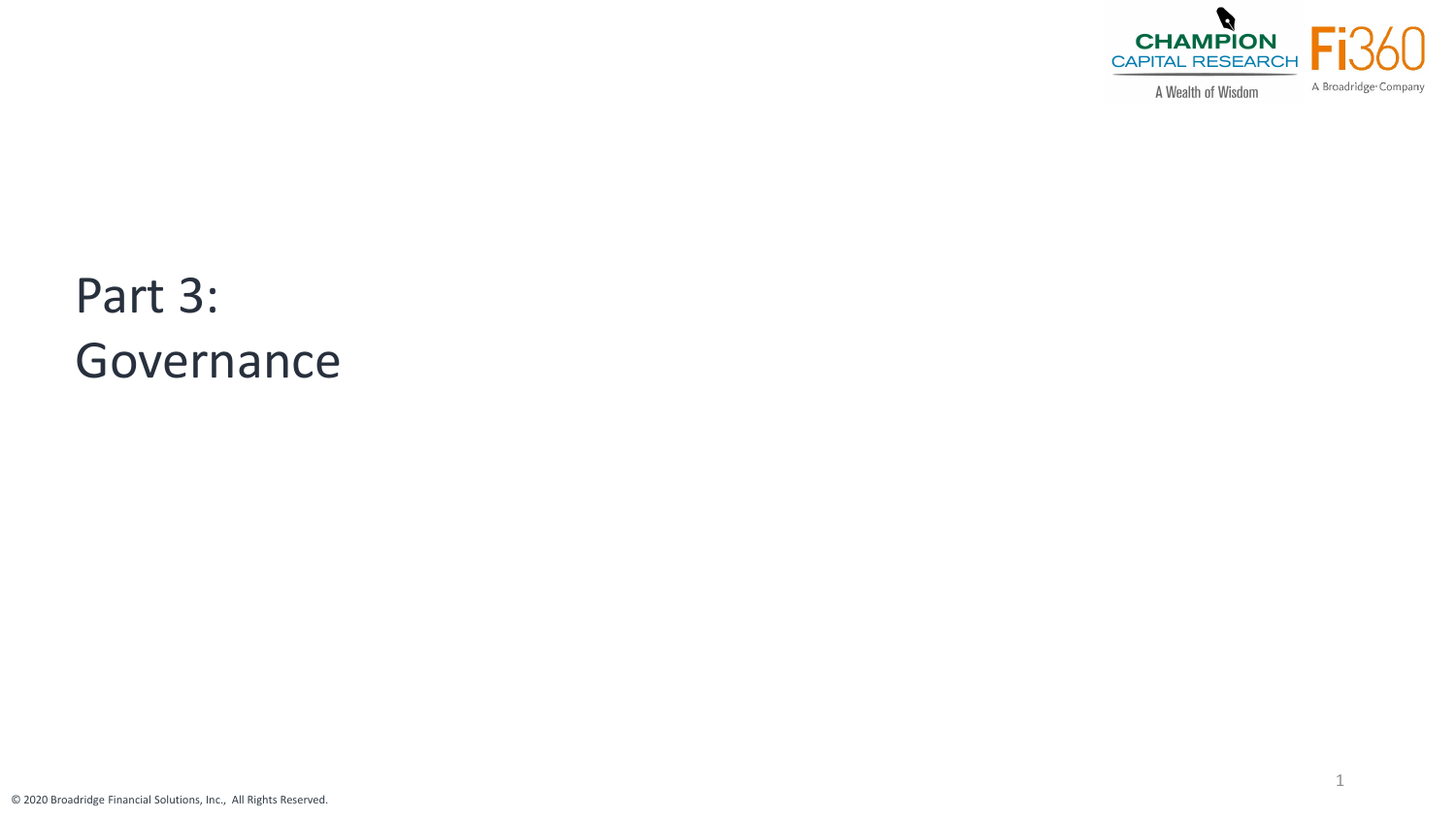

1

A Wealth of Wisdom

# Part 3: Governance

© 2020 Broadridge Financial Solutions, Inc., All Rights Reserved.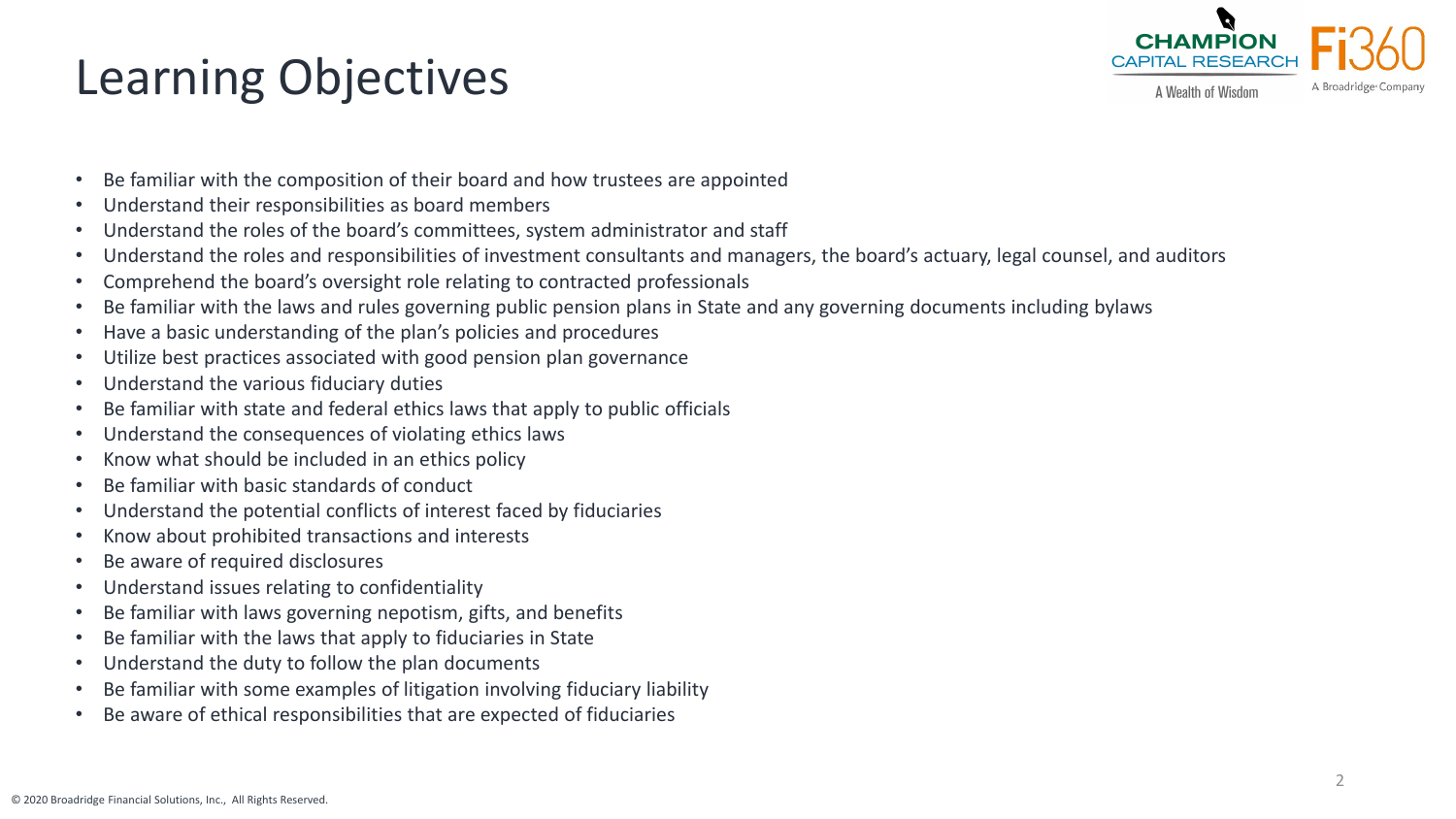# Learning Objectives



A Wealth of Wisdom

- Be familiar with the composition of their board and how trustees are appointed
- Understand their responsibilities as board members
- Understand the roles of the board's committees, system administrator and staff
- Understand the roles and responsibilities of investment consultants and managers, the board's actuary, legal counsel, and auditors
- Comprehend the board's oversight role relating to contracted professionals
- Be familiar with the laws and rules governing public pension plans in State and any governing documents including bylaws
- Have a basic understanding of the plan's policies and procedures
- Utilize best practices associated with good pension plan governance
- Understand the various fiduciary duties
- Be familiar with state and federal ethics laws that apply to public officials
- Understand the consequences of violating ethics laws
- Know what should be included in an ethics policy
- Be familiar with basic standards of conduct
- Understand the potential conflicts of interest faced by fiduciaries
- Know about prohibited transactions and interests
- Be aware of required disclosures
- Understand issues relating to confidentiality
- Be familiar with laws governing nepotism, gifts, and benefits
- Be familiar with the laws that apply to fiduciaries in State
- Understand the duty to follow the plan documents
- Be familiar with some examples of litigation involving fiduciary liability
- Be aware of ethical responsibilities that are expected of fiduciaries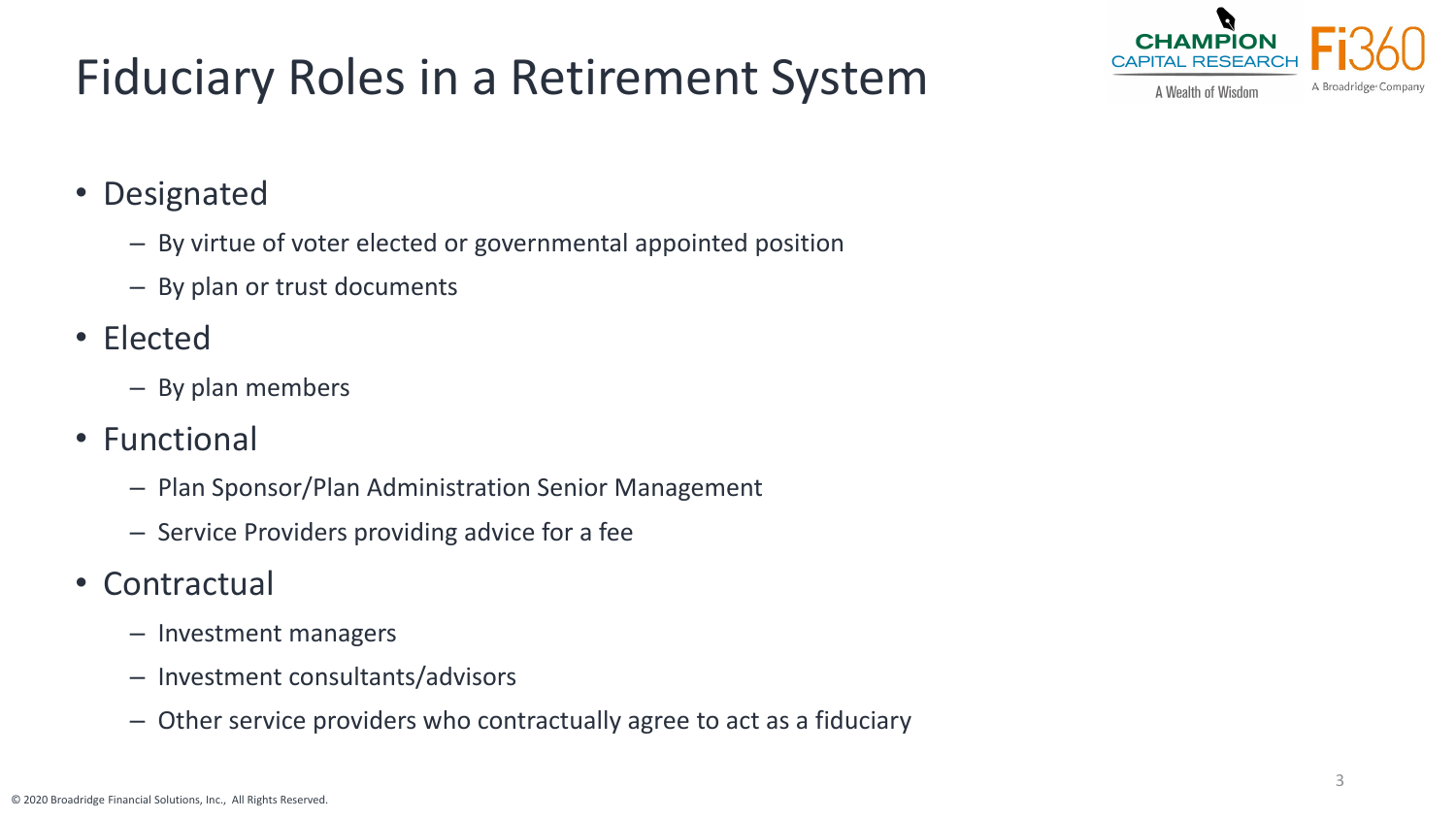# Fiduciary Roles in a Retirement System



• Designated

- By virtue of voter elected or governmental appointed position
- By plan or trust documents
- Elected
	- By plan members
- Functional
	- Plan Sponsor/Plan Administration Senior Management
	- Service Providers providing advice for a fee
- **Contractual** 
	- Investment managers
	- Investment consultants/advisors
	- Other service providers who contractually agree to act as a fiduciary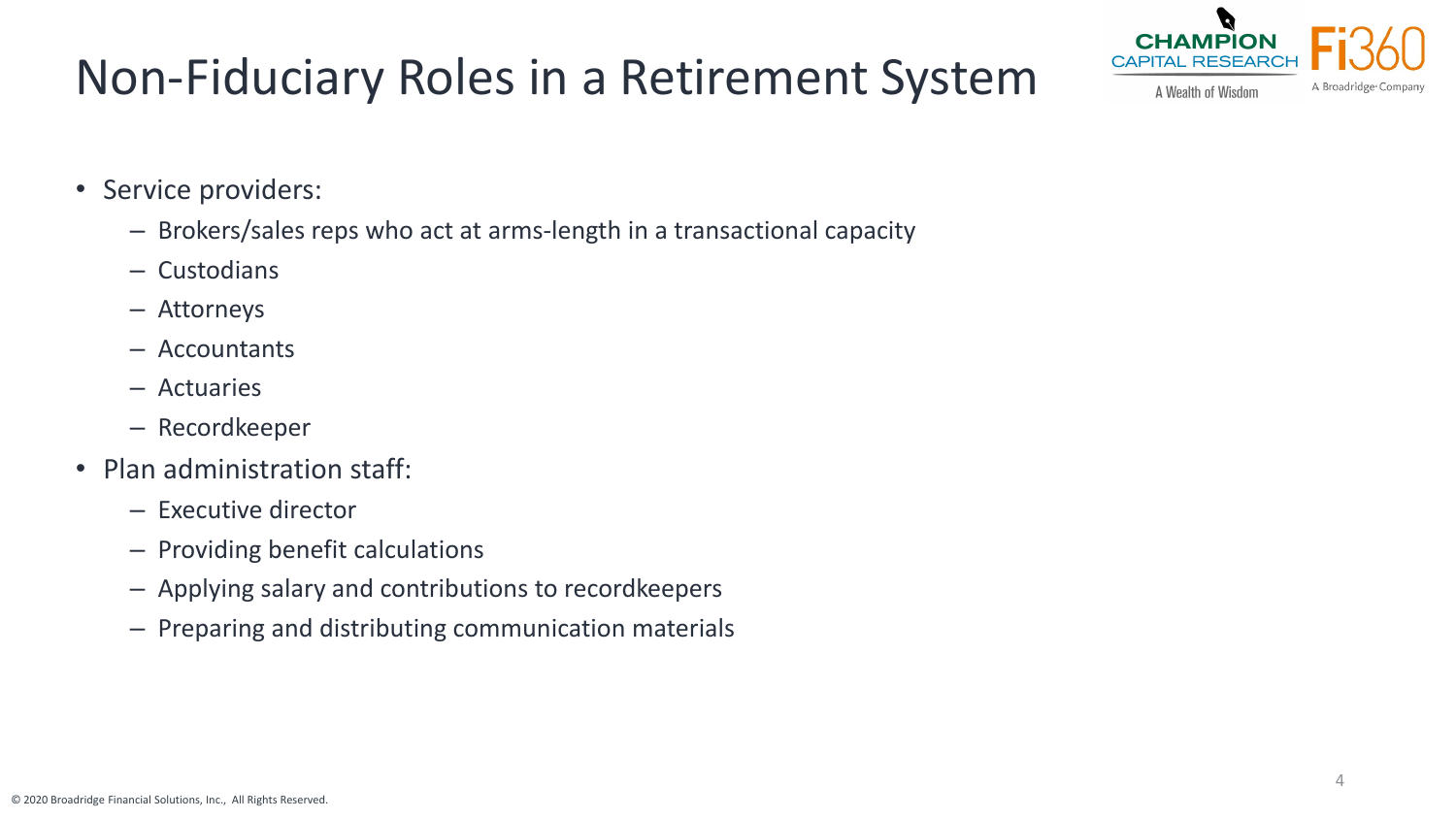# Non-Fiduciary Roles in a Retirement System



A Wealth of Wisdom

- Service providers:
	- Brokers/sales reps who act at arms-length in a transactional capacity
	- Custodians
	- Attorneys
	- Accountants
	- Actuaries
	- Recordkeeper
- Plan administration staff:
	- Executive director
	- Providing benefit calculations
	- Applying salary and contributions to recordkeepers
	- Preparing and distributing communication materials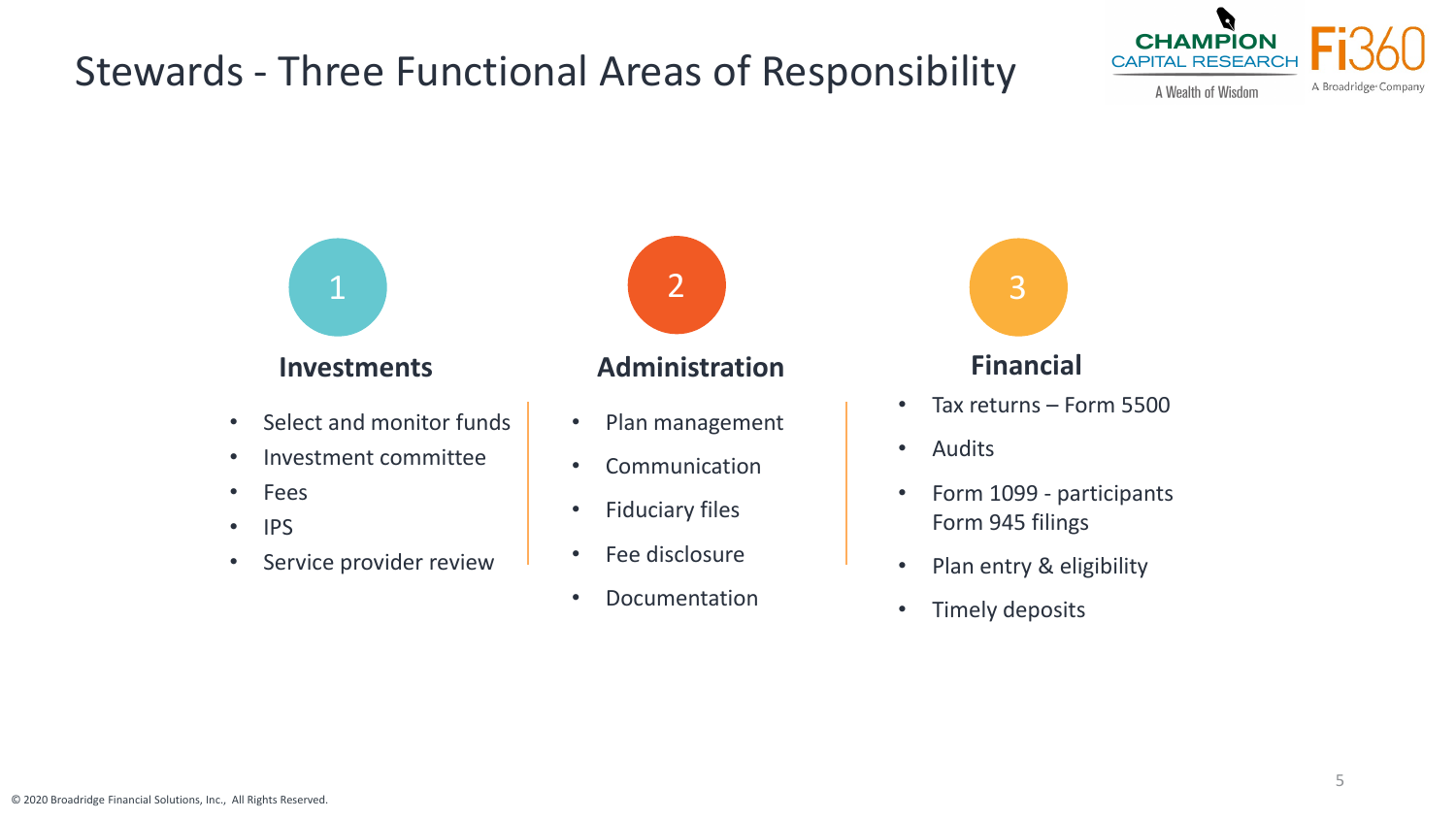#### Stewards - Three Functional Areas of Responsibility



- Select and monitor funds
- Investment committee
- Fees
- IPS
- Service provider review



#### **Investments Administration Financial**

- Plan management
- Communication
- Fiduciary files
- Fee disclosure
- Documentation



- Tax returns Form 5500
- Audits
- Form 1099 participants Form 945 filings
- Plan entry & eligibility
- Timely deposits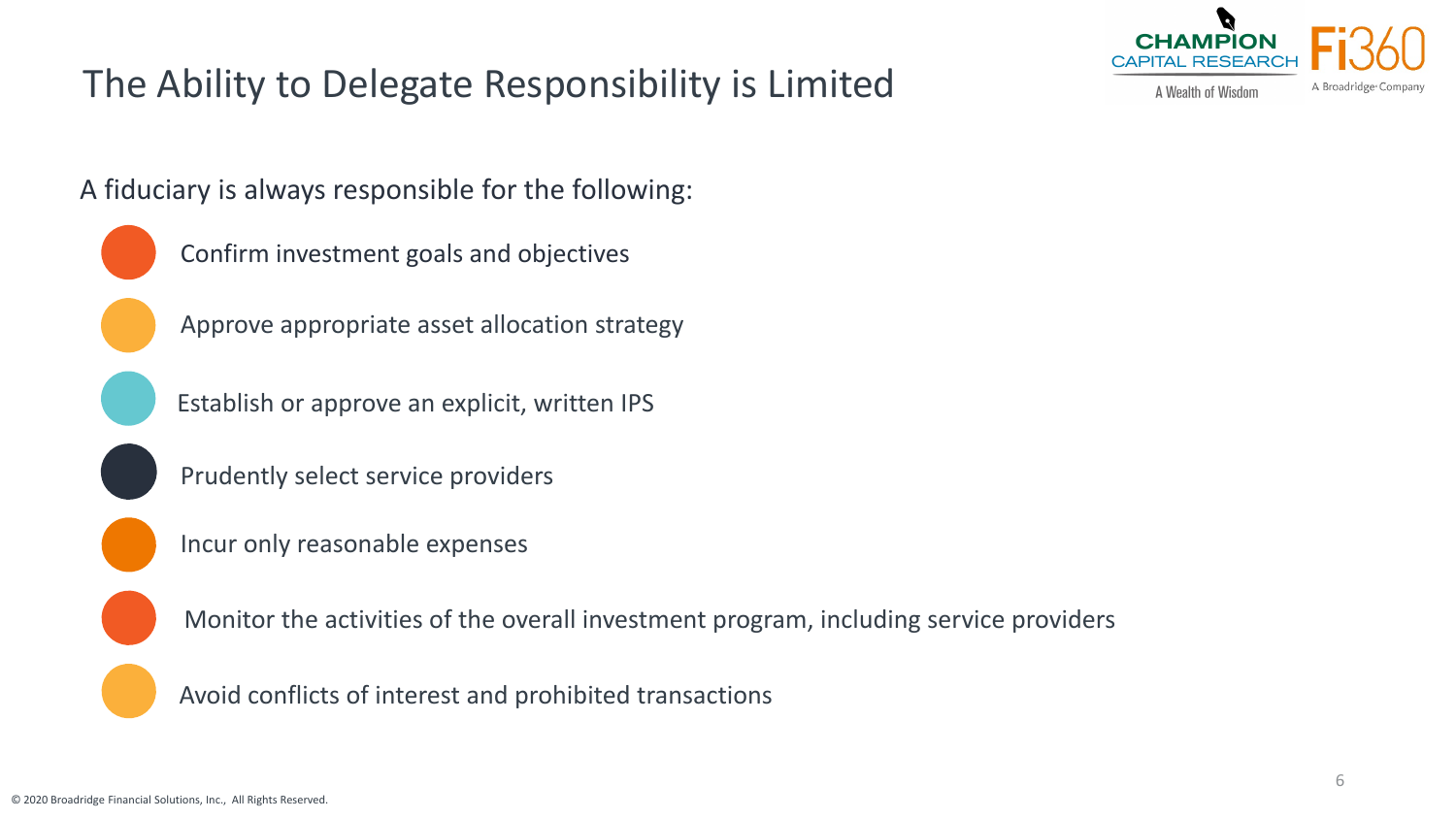#### The Ability to Delegate Responsibility is Limited



A fiduciary is always responsible for the following:



Approve appropriate asset allocation strategy

Establish or approve an explicit, written IPS

Prudently select service providers

Incur only reasonable expenses

Monitor the activities of the overall investment program, including service providers

Avoid conflicts of interest and prohibited transactions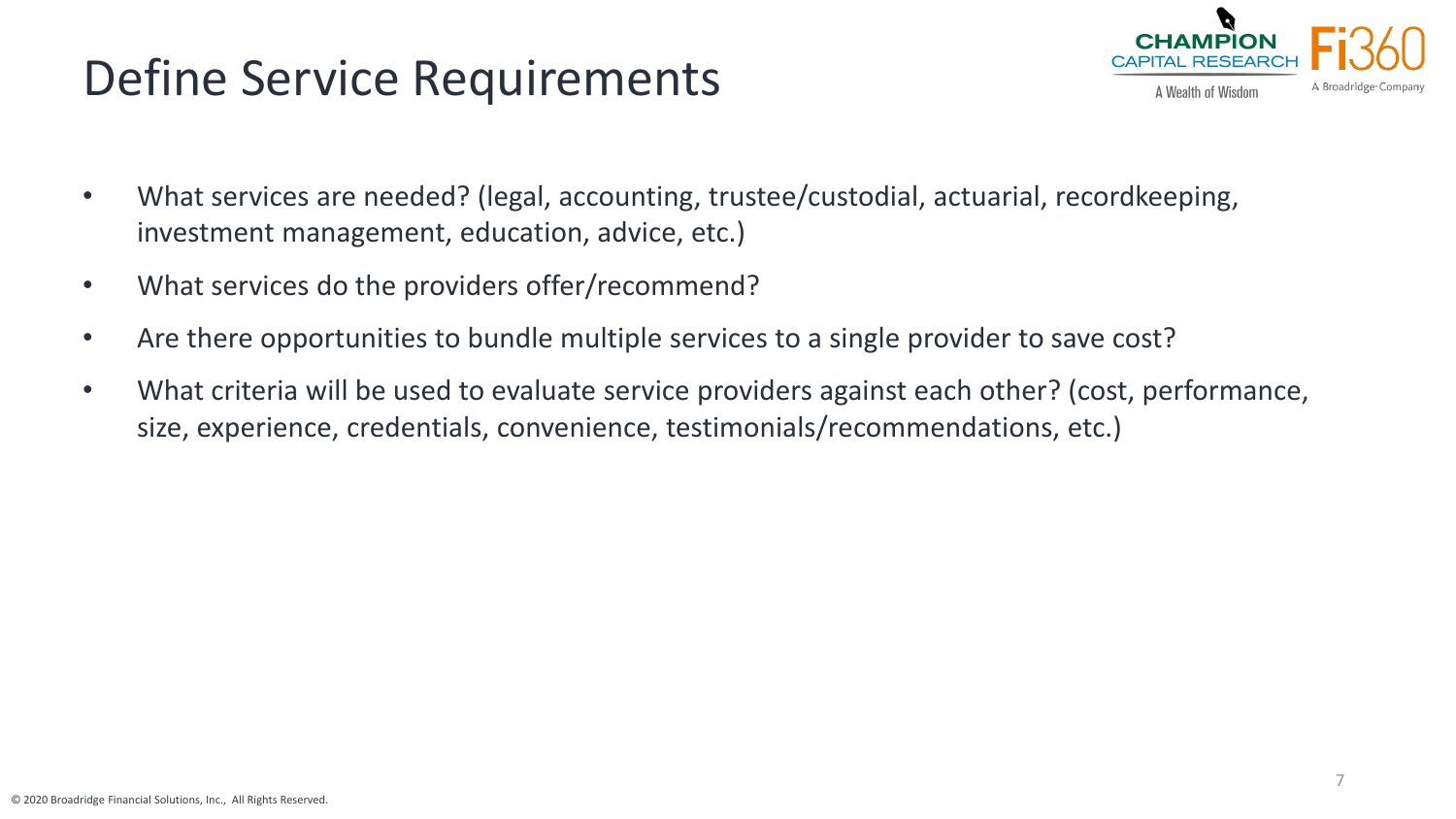# Define Service Requirements



- What services are needed? (legal, accounting, trustee/custodial, actuarial, recordkeeping, investment management, education, advice, etc.)
- What services do the providers offer/recommend?
- Are there opportunities to bundle multiple services to a single provider to save cost?
- What criteria will be used to evaluate service providers against each other? (cost, performance, size, experience, credentials, convenience, testimonials/recommendations, etc.)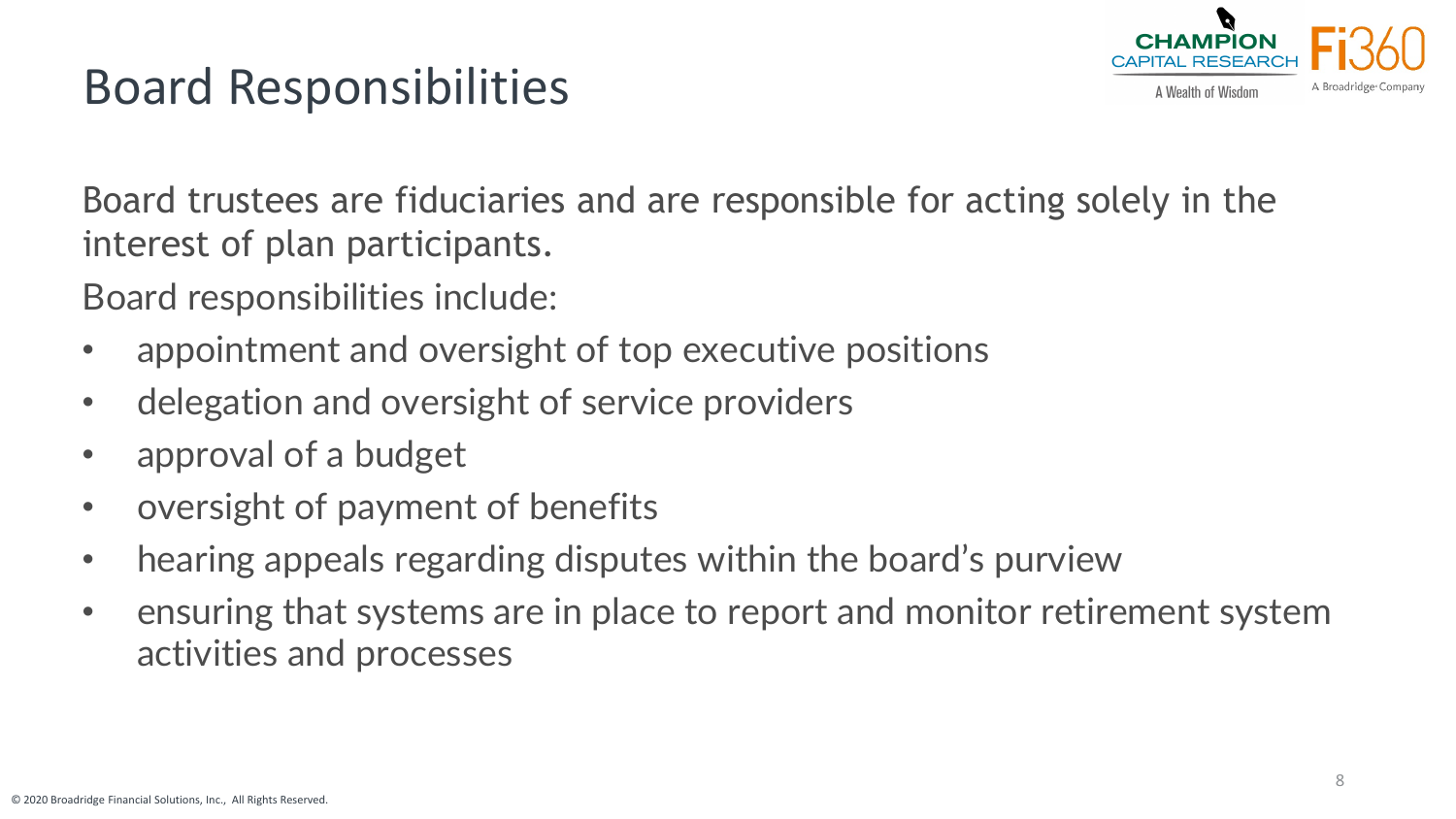

## Board Responsibilities

Board trustees are fiduciaries and are responsible for acting solely in the interest of plan participants.

Board responsibilities include:

- appointment and oversight of top executive positions
- delegation and oversight of service providers
- approval of a budget
- oversight of payment of benefits
- hearing appeals regarding disputes within the board's purview
- ensuring that systems are in place to report and monitor retirement system activities and processes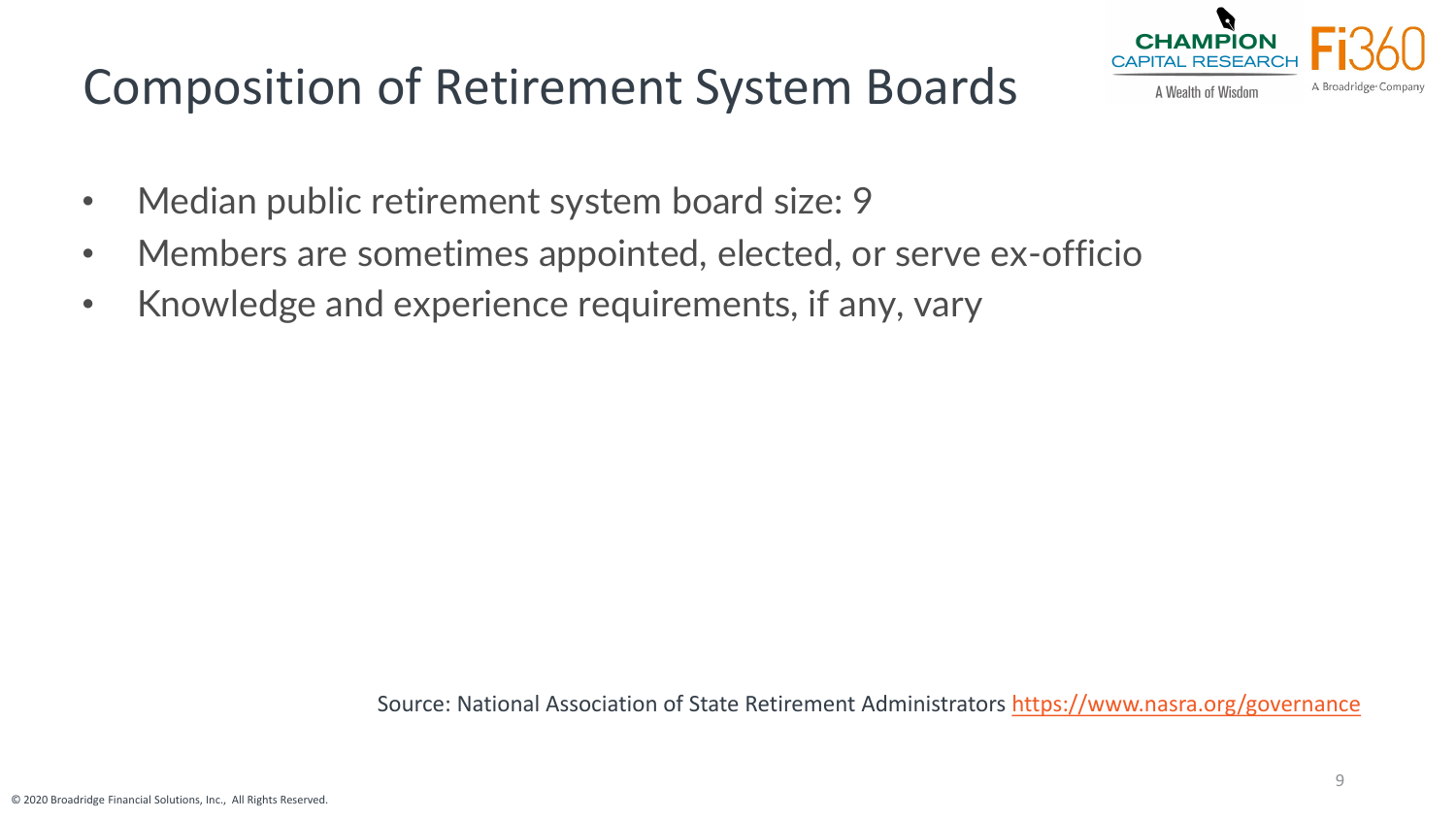# Composition of Retirement System Boards



- Median public retirement system board size: 9
- Members are sometimes appointed, elected, or serve ex-officio
- Knowledge and experience requirements, if any, vary

Source: National Association of State Retirement Administrators <https://www.nasra.org/governance>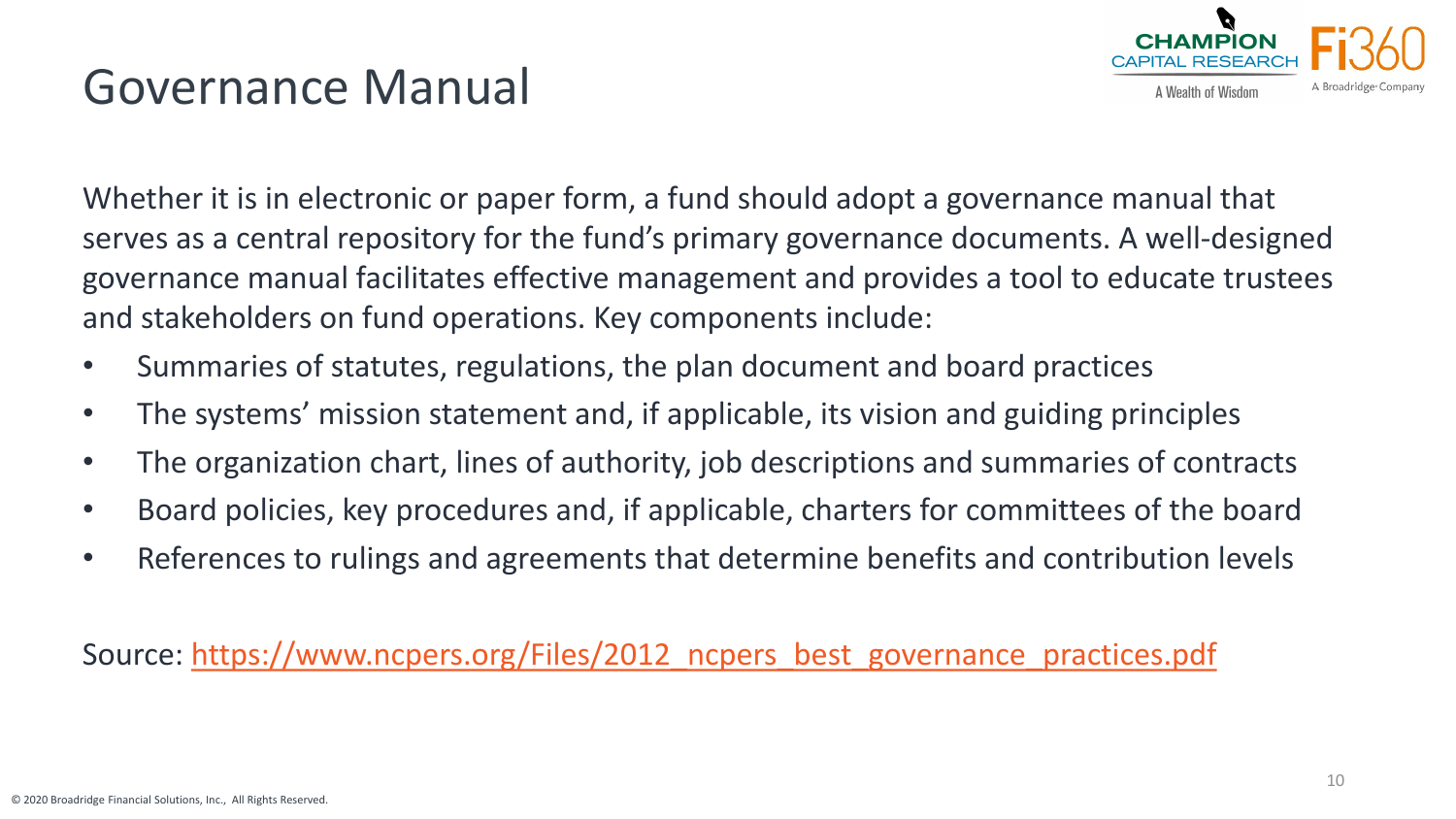

### Governance Manual

Whether it is in electronic or paper form, a fund should adopt a governance manual that serves as a central repository for the fund's primary governance documents. A well-designed governance manual facilitates effective management and provides a tool to educate trustees and stakeholders on fund operations. Key components include:

- Summaries of statutes, regulations, the plan document and board practices
- The systems' mission statement and, if applicable, its vision and guiding principles
- The organization chart, lines of authority, job descriptions and summaries of contracts
- Board policies, key procedures and, if applicable, charters for committees of the board
- References to rulings and agreements that determine benefits and contribution levels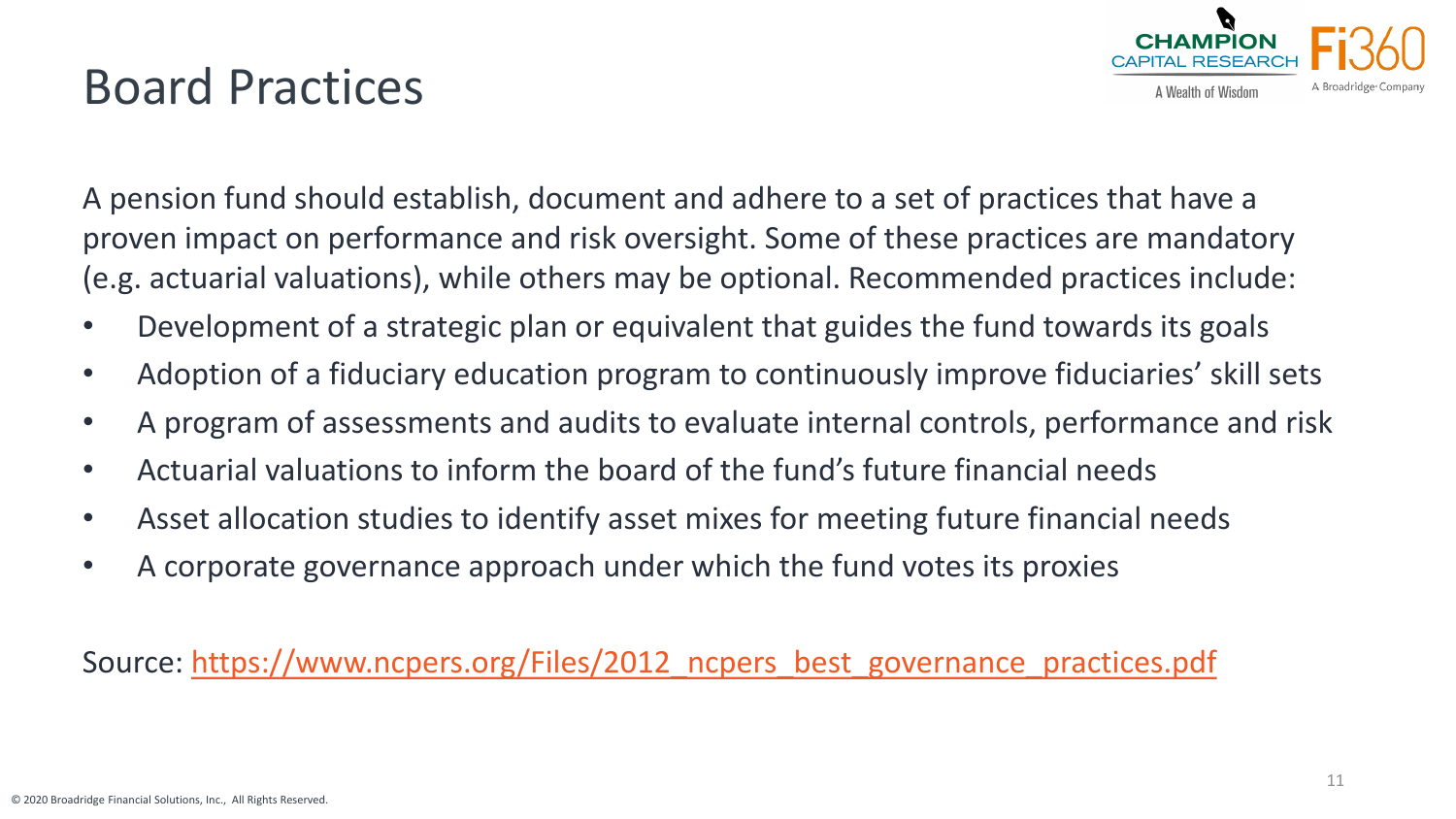

## Board Practices

A pension fund should establish, document and adhere to a set of practices that have a proven impact on performance and risk oversight. Some of these practices are mandatory (e.g. actuarial valuations), while others may be optional. Recommended practices include:

- Development of a strategic plan or equivalent that guides the fund towards its goals
- Adoption of a fiduciary education program to continuously improve fiduciaries' skill sets
- A program of assessments and audits to evaluate internal controls, performance and risk
- Actuarial valuations to inform the board of the fund's future financial needs
- Asset allocation studies to identify asset mixes for meeting future financial needs
- A corporate governance approach under which the fund votes its proxies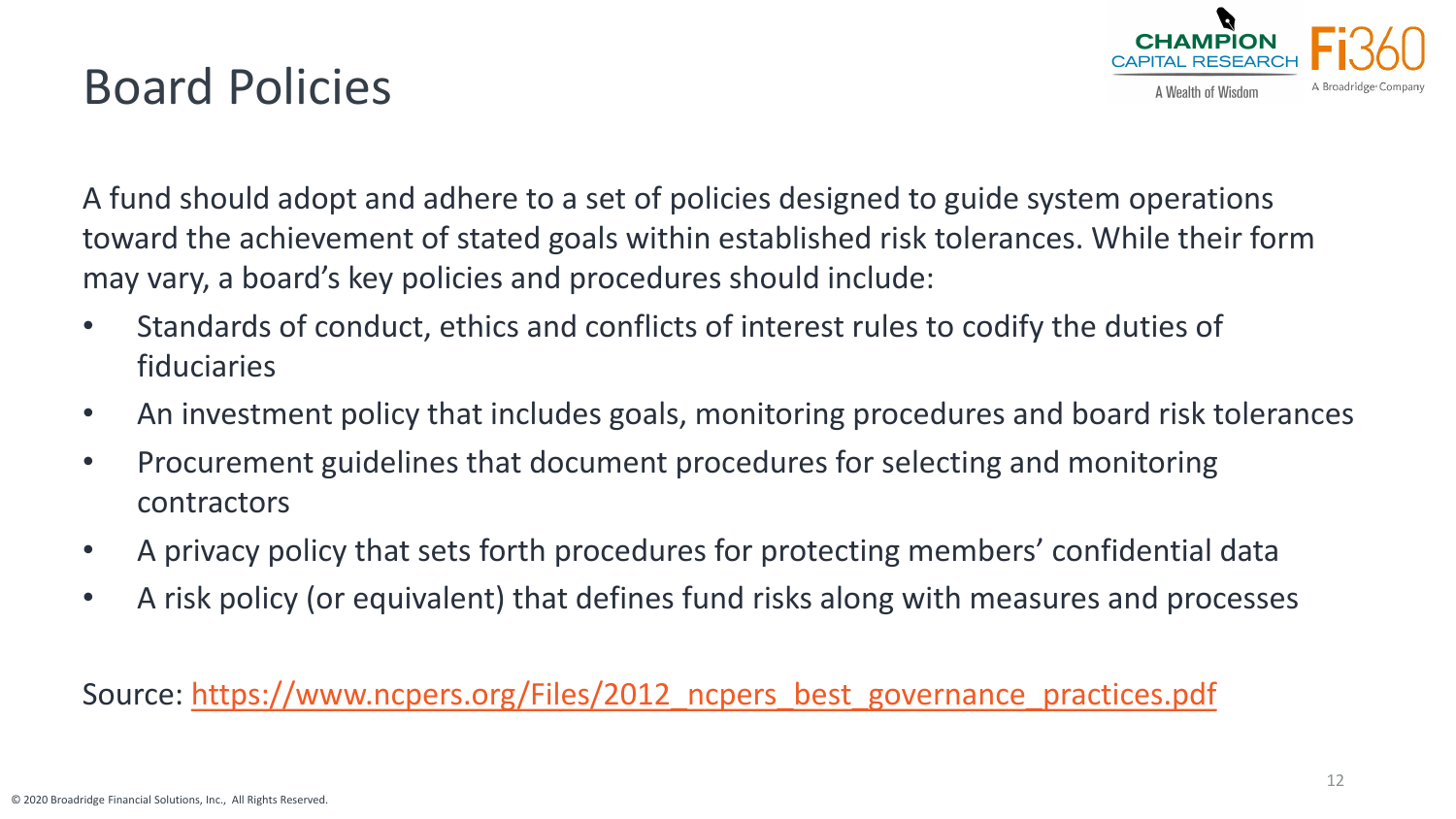

## Board Policies

A fund should adopt and adhere to a set of policies designed to guide system operations toward the achievement of stated goals within established risk tolerances. While their form may vary, a board's key policies and procedures should include:

- Standards of conduct, ethics and conflicts of interest rules to codify the duties of fiduciaries
- An investment policy that includes goals, monitoring procedures and board risk tolerances
- Procurement guidelines that document procedures for selecting and monitoring contractors
- A privacy policy that sets forth procedures for protecting members' confidential data
- A risk policy (or equivalent) that defines fund risks along with measures and processes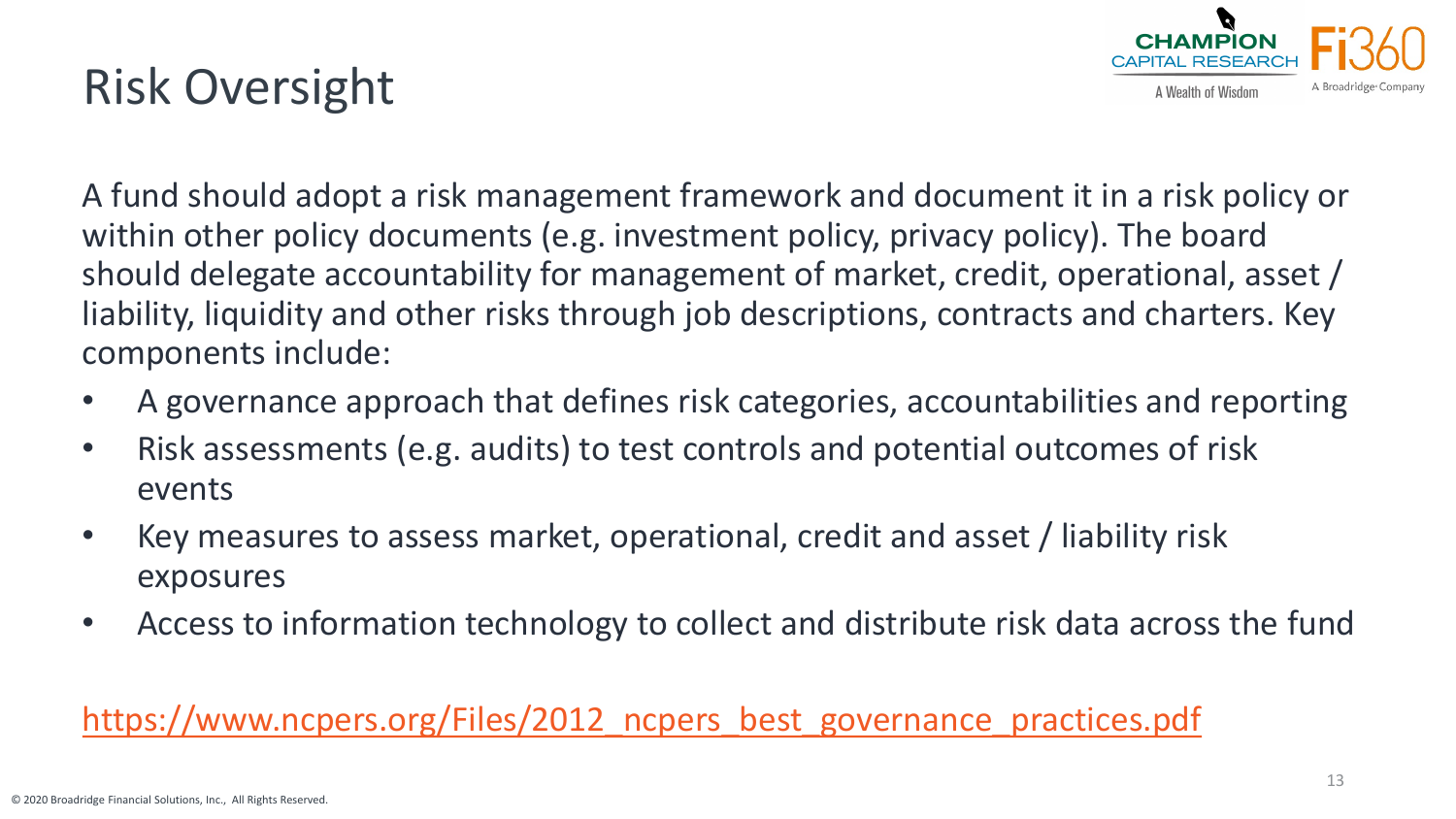# Risk Oversight



A fund should adopt a risk management framework and document it in a risk policy or within other policy documents (e.g. investment policy, privacy policy). The board should delegate accountability for management of market, credit, operational, asset / liability, liquidity and other risks through job descriptions, contracts and charters. Key components include:

- A governance approach that defines risk categories, accountabilities and reporting
- Risk assessments (e.g. audits) to test controls and potential outcomes of risk events
- Key measures to assess market, operational, credit and asset / liability risk exposures
- Access to information technology to collect and distribute risk data across the fund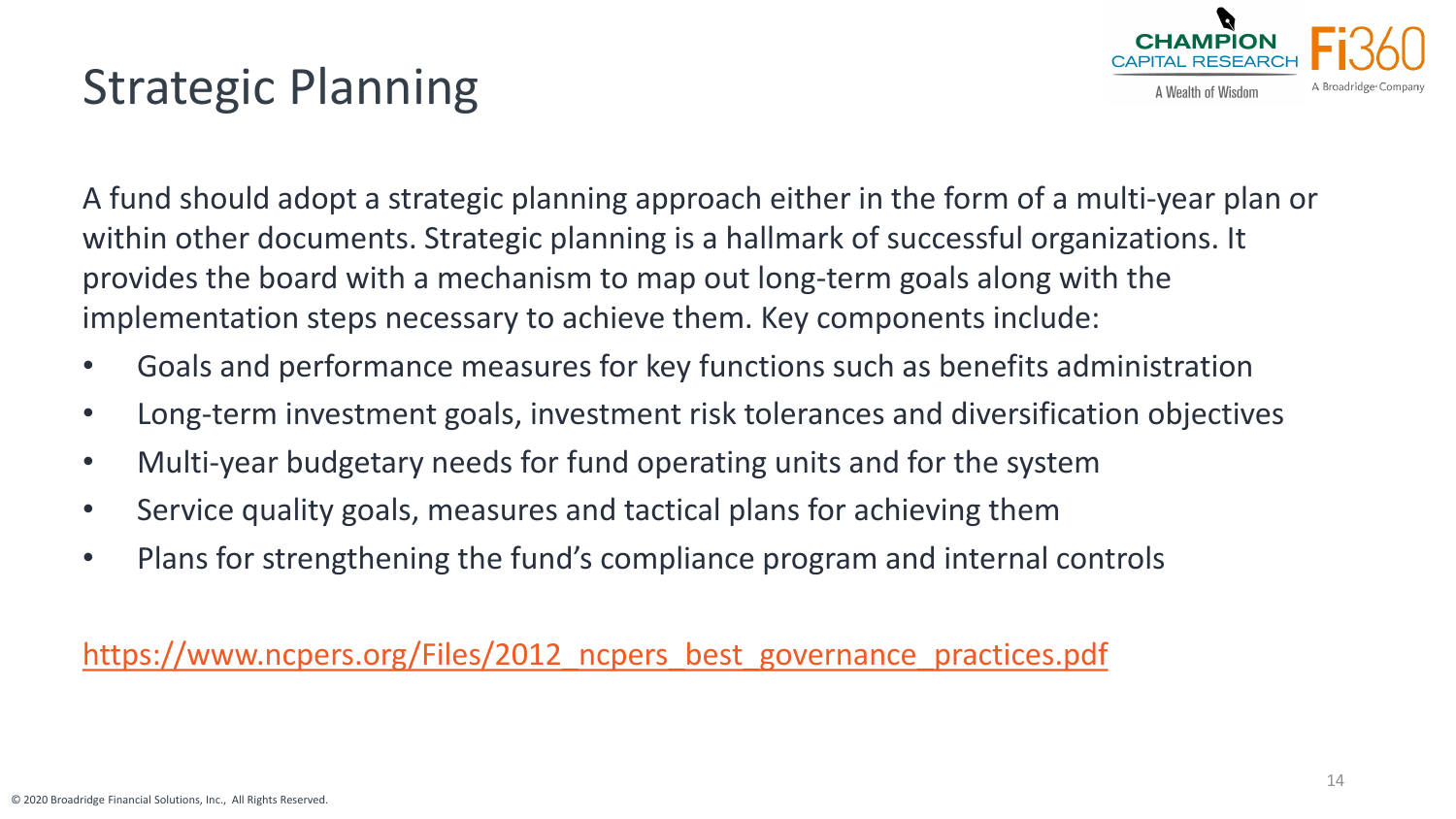

# Strategic Planning

A fund should adopt a strategic planning approach either in the form of a multi-year plan or within other documents. Strategic planning is a hallmark of successful organizations. It provides the board with a mechanism to map out long-term goals along with the implementation steps necessary to achieve them. Key components include:

- Goals and performance measures for key functions such as benefits administration
- Long-term investment goals, investment risk tolerances and diversification objectives
- Multi-year budgetary needs for fund operating units and for the system
- Service quality goals, measures and tactical plans for achieving them
- Plans for strengthening the fund's compliance program and internal controls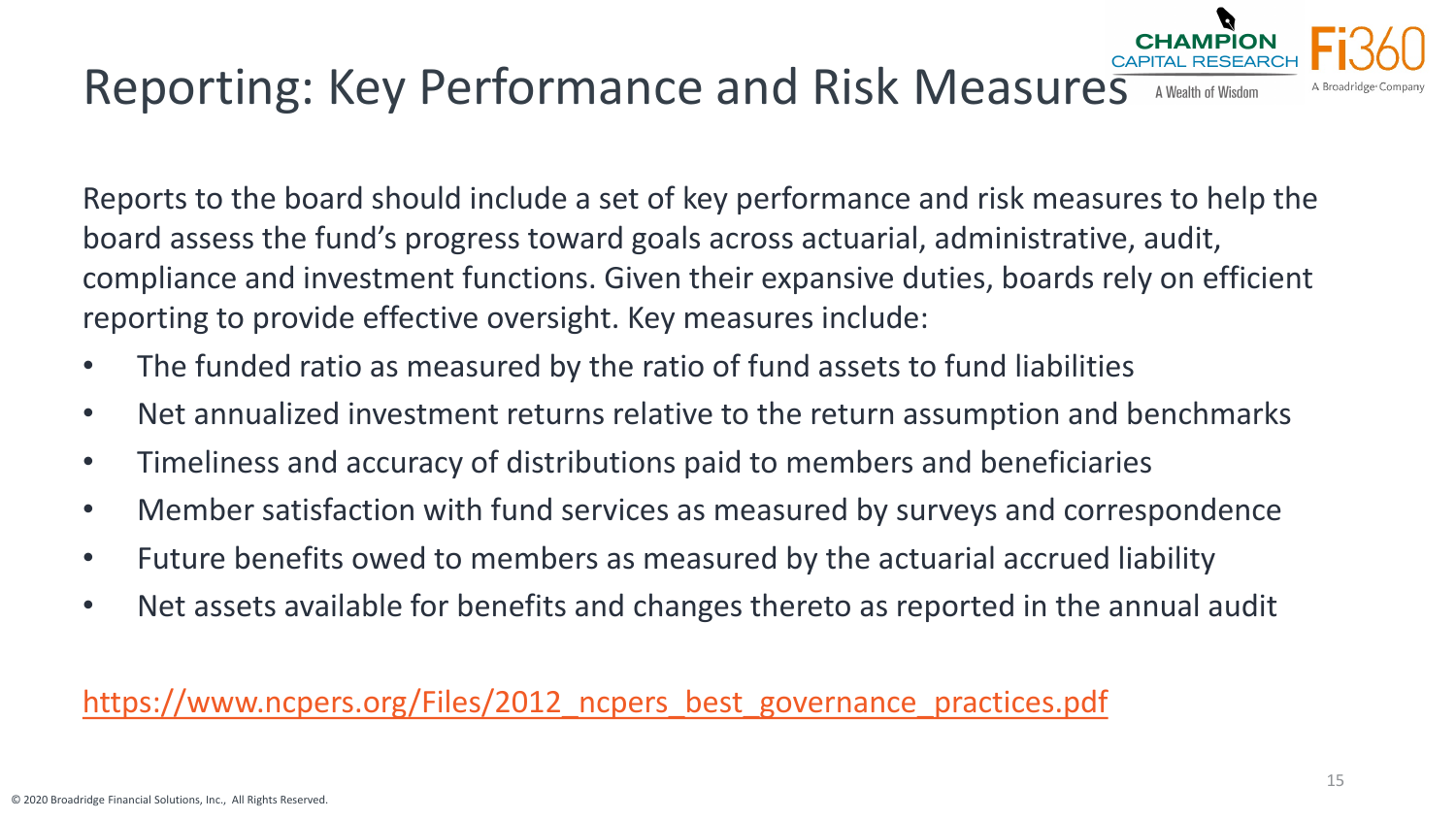#### Reporting: Key Performance and Risk Measures A Wealth of Wisdom

Reports to the board should include a set of key performance and risk measures to help the board assess the fund's progress toward goals across actuarial, administrative, audit, compliance and investment functions. Given their expansive duties, boards rely on efficient reporting to provide effective oversight. Key measures include:

- The funded ratio as measured by the ratio of fund assets to fund liabilities
- Net annualized investment returns relative to the return assumption and benchmarks
- Timeliness and accuracy of distributions paid to members and beneficiaries
- Member satisfaction with fund services as measured by surveys and correspondence
- Future benefits owed to members as measured by the actuarial accrued liability
- Net assets available for benefits and changes thereto as reported in the annual audit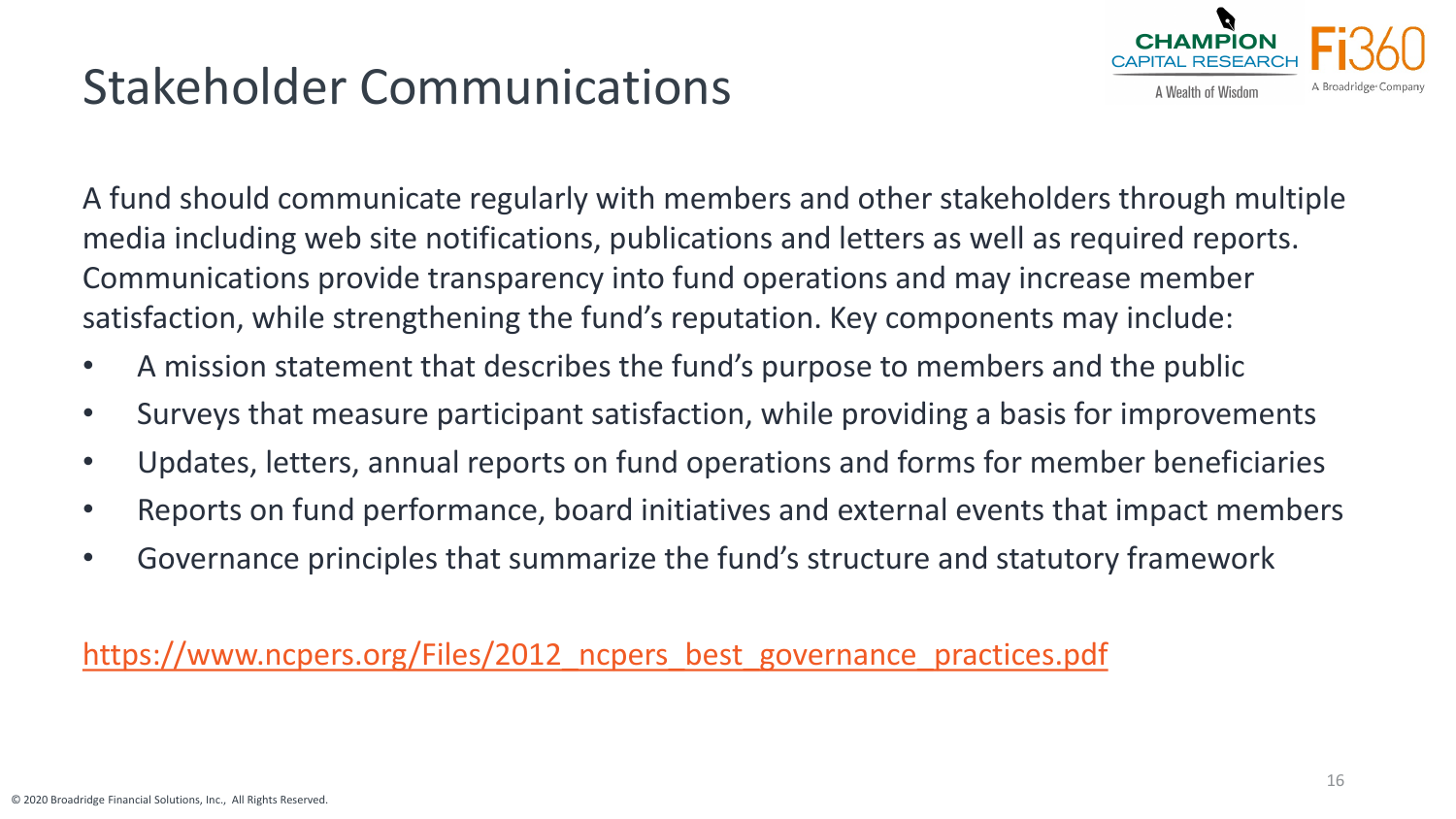# Stakeholder Communications



A fund should communicate regularly with members and other stakeholders through multiple media including web site notifications, publications and letters as well as required reports. Communications provide transparency into fund operations and may increase member satisfaction, while strengthening the fund's reputation. Key components may include:

- A mission statement that describes the fund's purpose to members and the public
- Surveys that measure participant satisfaction, while providing a basis for improvements
- Updates, letters, annual reports on fund operations and forms for member beneficiaries
- Reports on fund performance, board initiatives and external events that impact members
- Governance principles that summarize the fund's structure and statutory framework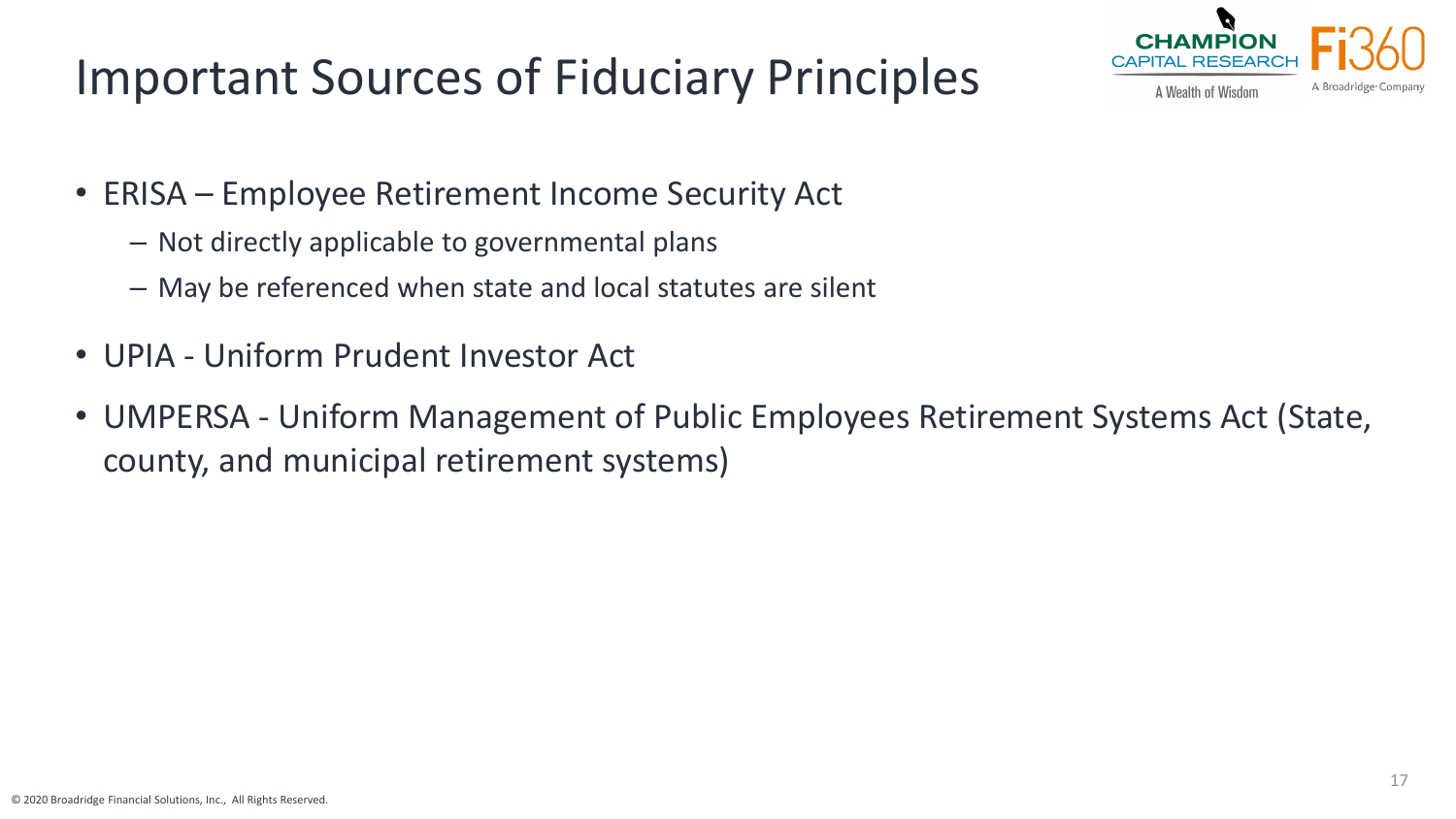# Important Sources of Fiduciary Principles



- ERISA Employee Retirement Income Security Act
	- Not directly applicable to governmental plans
	- May be referenced when state and local statutes are silent
- UPIA Uniform Prudent Investor Act
- UMPERSA Uniform Management of Public Employees Retirement Systems Act (State, county, and municipal retirement systems)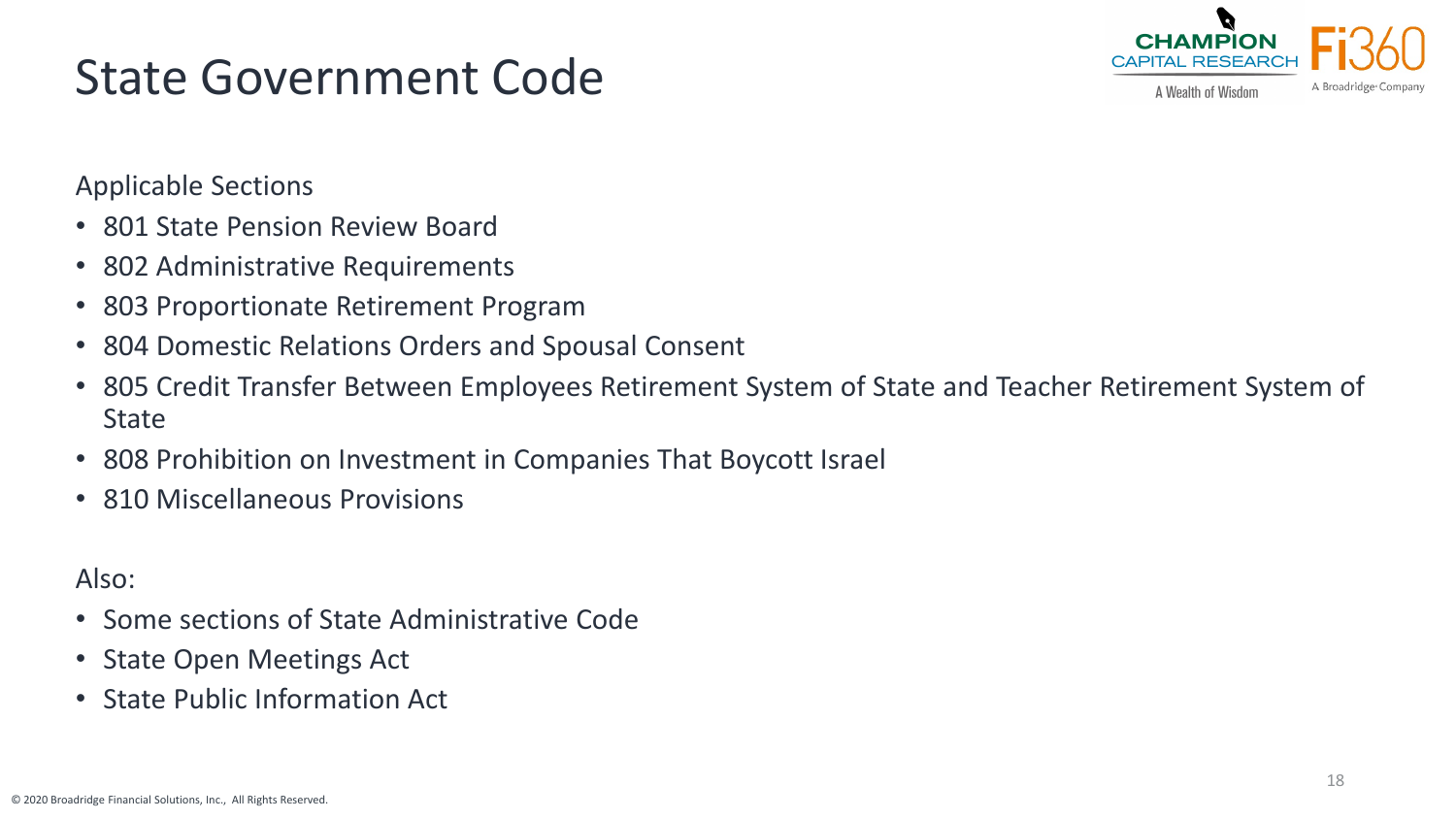# State Government Code



A Wealth of Wisdom

Applicable Sections

- 801 State Pension Review Board
- 802 Administrative Requirements
- 803 Proportionate Retirement Program
- 804 Domestic Relations Orders and Spousal Consent
- 805 Credit Transfer Between Employees Retirement System of State and Teacher Retirement System of **State**
- 808 Prohibition on Investment in Companies That Boycott Israel
- 810 Miscellaneous Provisions

Also:

- Some sections of State Administrative Code
- State Open Meetings Act
- State Public Information Act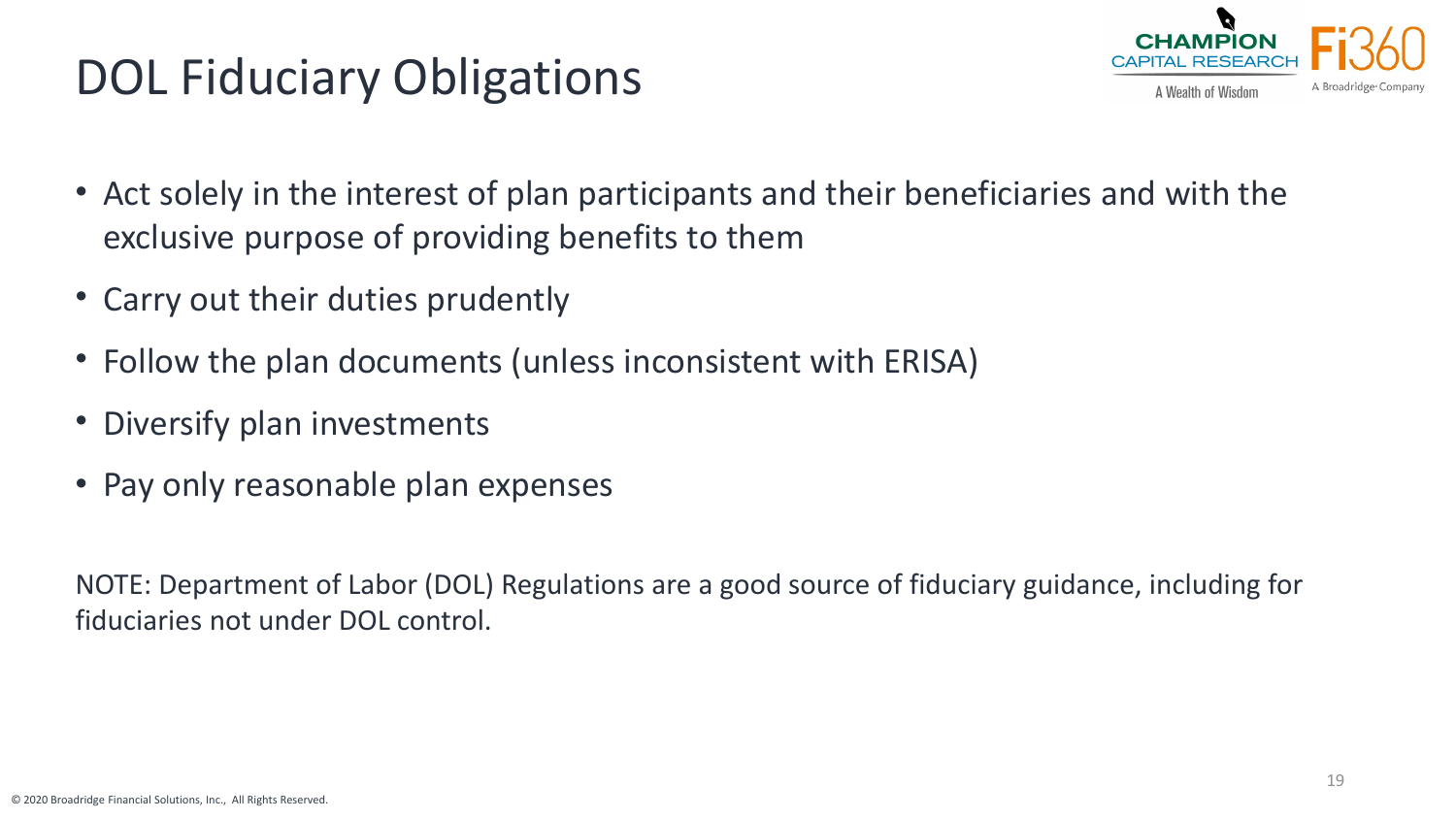# DOL Fiduciary Obligations



- Act solely in the interest of plan participants and their beneficiaries and with the exclusive purpose of providing benefits to them
- Carry out their duties prudently
- Follow the plan documents (unless inconsistent with ERISA)
- Diversify plan investments
- Pay only reasonable plan expenses

NOTE: Department of Labor (DOL) Regulations are a good source of fiduciary guidance, including for fiduciaries not under DOL control.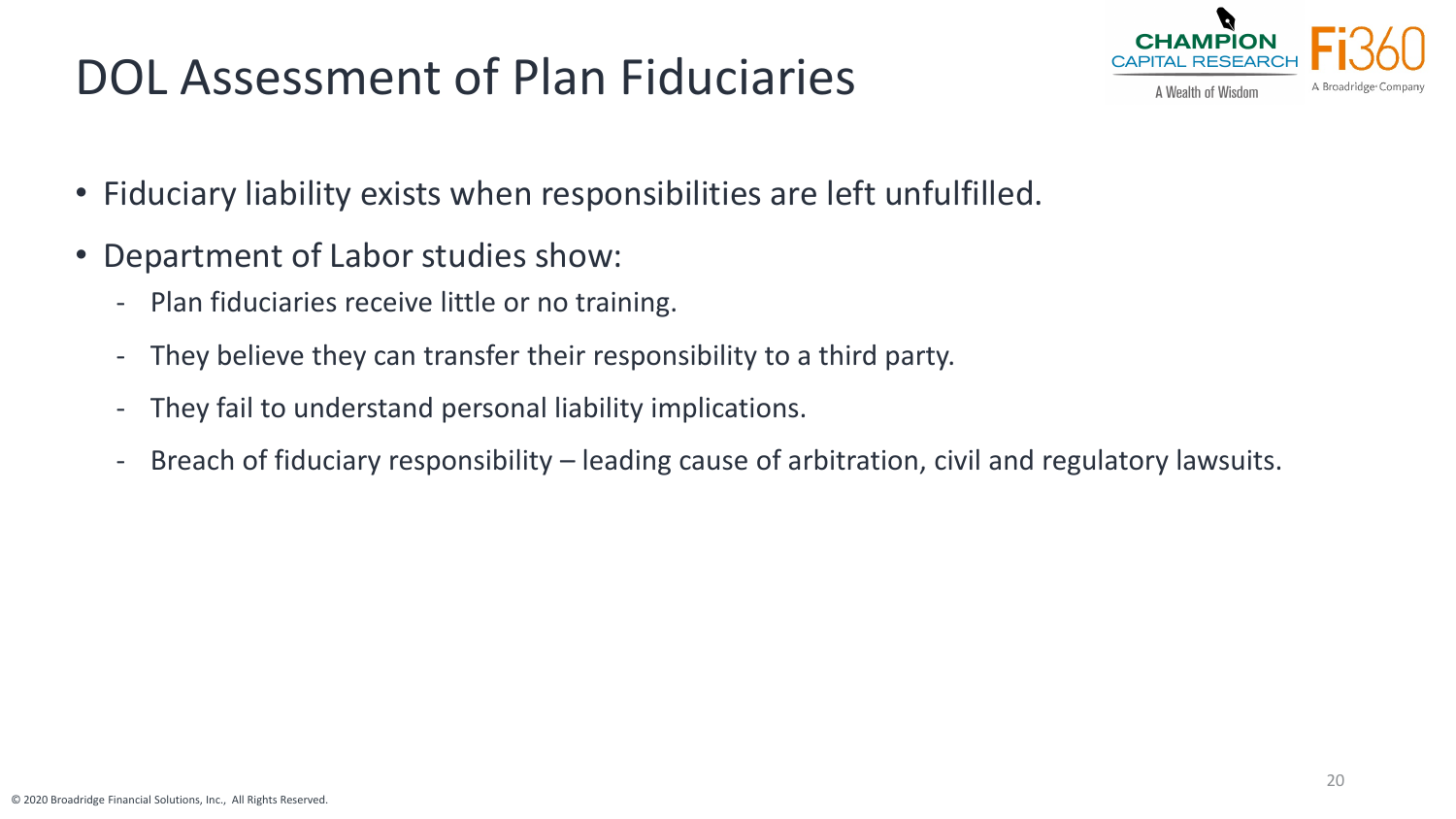# DOL Assessment of Plan Fiduciaries



- Fiduciary liability exists when responsibilities are left unfulfilled.
- Department of Labor studies show:
	- Plan fiduciaries receive little or no training.
	- They believe they can transfer their responsibility to a third party.
	- They fail to understand personal liability implications.
	- Breach of fiduciary responsibility leading cause of arbitration, civil and regulatory lawsuits.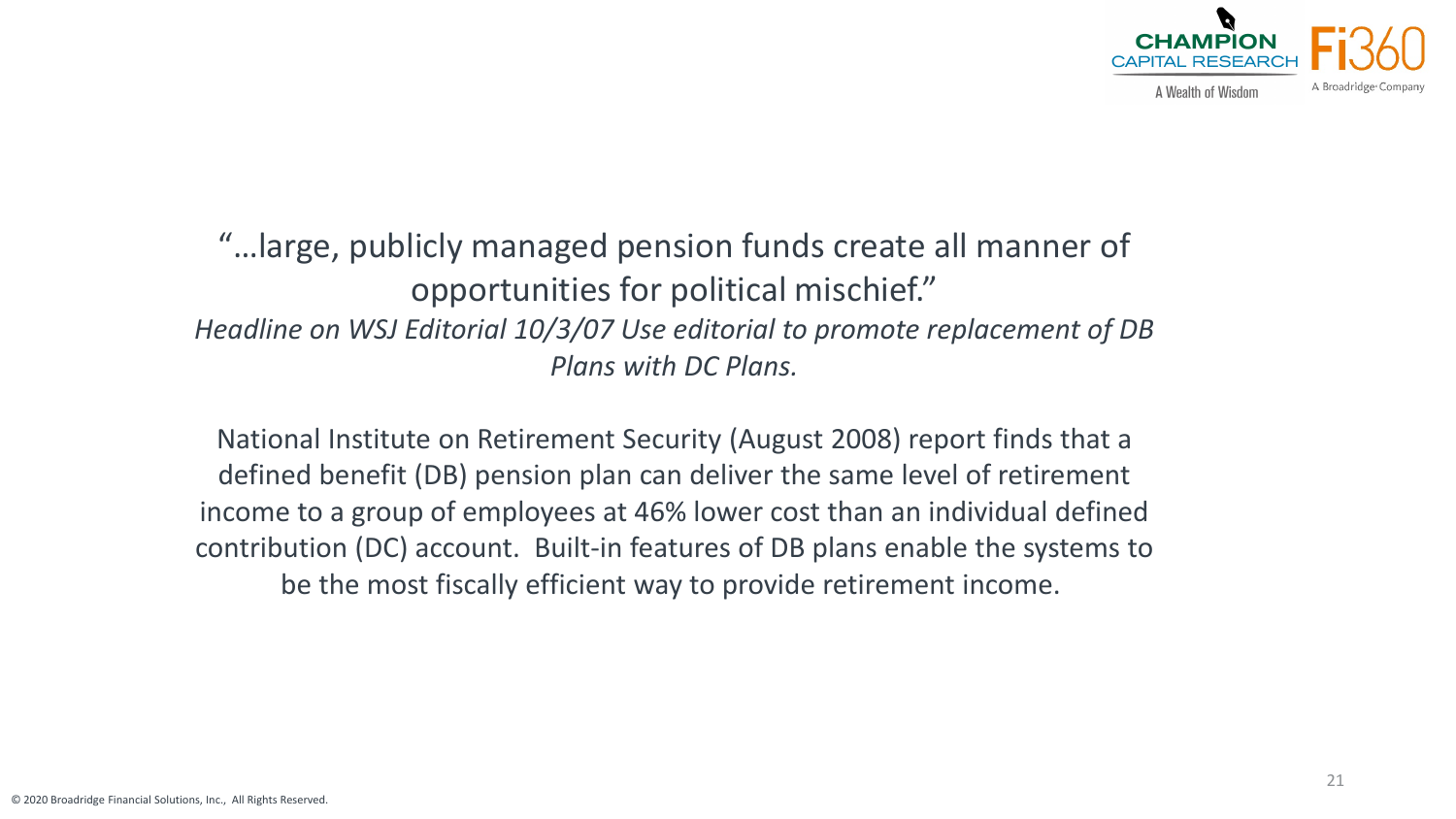

"…large, publicly managed pension funds create all manner of opportunities for political mischief." *Headline on WSJ Editorial 10/3/07 Use editorial to promote replacement of DB Plans with DC Plans.*

National Institute on Retirement Security (August 2008) report finds that a defined benefit (DB) pension plan can deliver the same level of retirement income to a group of employees at 46% lower cost than an individual defined contribution (DC) account. Built-in features of DB plans enable the systems to be the most fiscally efficient way to provide retirement income.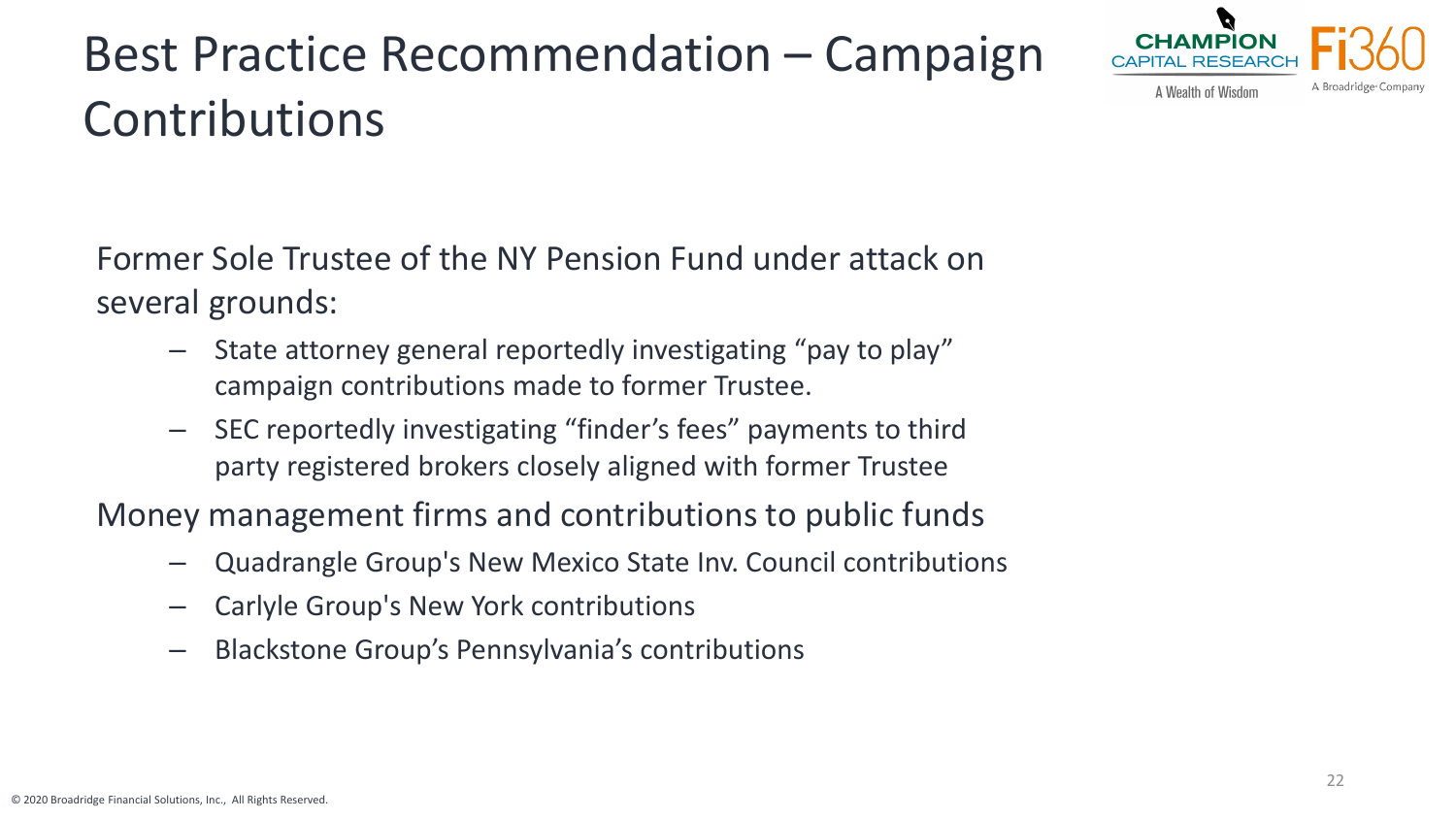# Best Practice Recommendation – Campaign Contributions



A Wealth of Wisdom

Former Sole Trustee of the NY Pension Fund under attack on several grounds:

- State attorney general reportedly investigating "pay to play" campaign contributions made to former Trustee.
- SEC reportedly investigating "finder's fees" payments to third party registered brokers closely aligned with former Trustee

Money management firms and contributions to public funds

- Quadrangle Group's New Mexico State Inv. Council contributions
- Carlyle Group's New York contributions
- Blackstone Group's Pennsylvania's contributions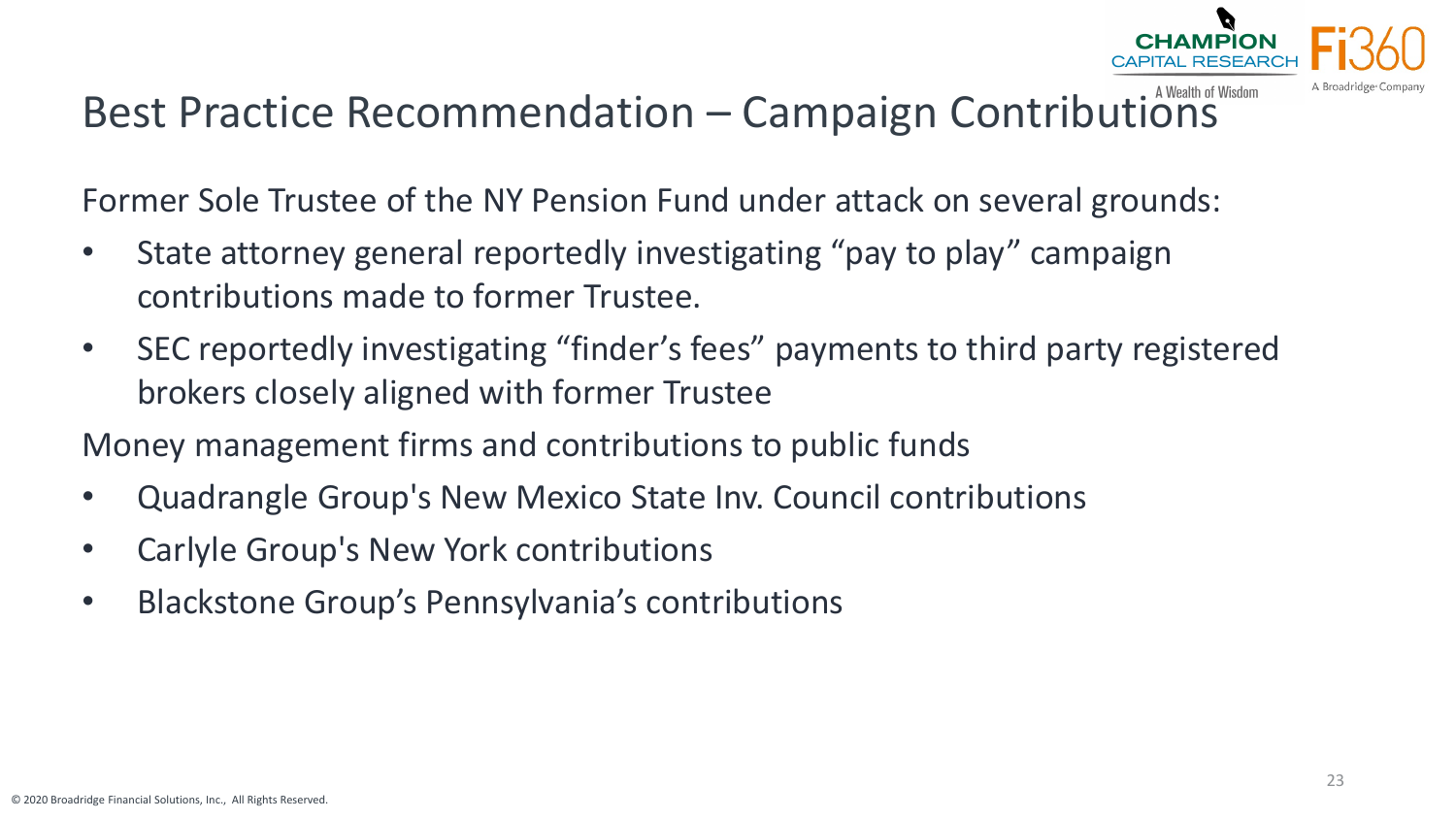

## Best Practice Recommendation – Campaign Contributions

Former Sole Trustee of the NY Pension Fund under attack on several grounds:

- State attorney general reportedly investigating "pay to play" campaign contributions made to former Trustee.
- SEC reportedly investigating "finder's fees" payments to third party registered brokers closely aligned with former Trustee

Money management firms and contributions to public funds

- Quadrangle Group's New Mexico State Inv. Council contributions
- Carlyle Group's New York contributions
- Blackstone Group's Pennsylvania's contributions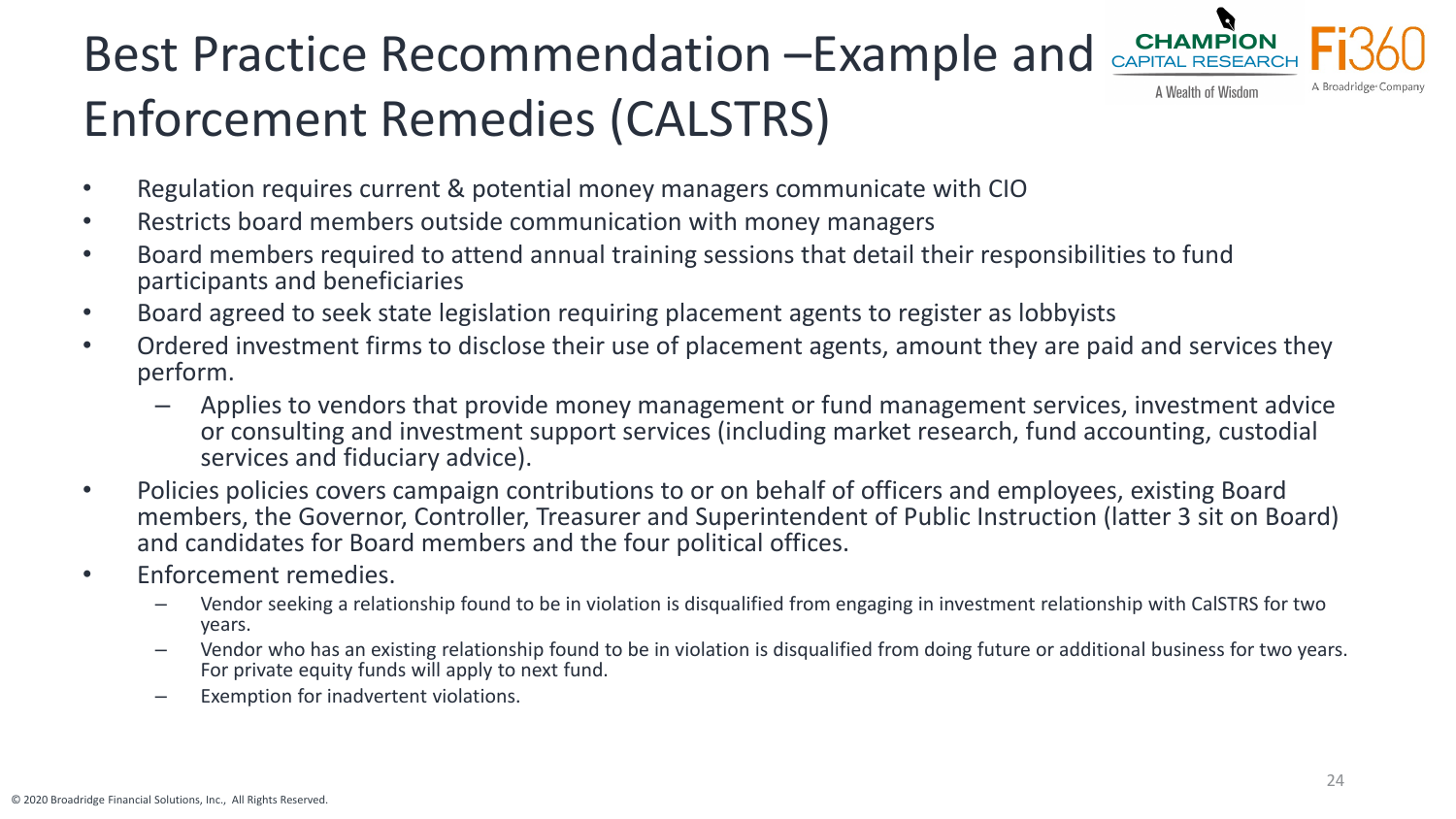#### **CHAMPION** Best Practice Recommendation –Example and A Wealth of Wisdom Enforcement Remedies (CALSTRS)

- Regulation requires current & potential money managers communicate with CIO
- Restricts board members outside communication with money managers
- Board members required to attend annual training sessions that detail their responsibilities to fund participants and beneficiaries
- Board agreed to seek state legislation requiring placement agents to register as lobbyists
- Ordered investment firms to disclose their use of placement agents, amount they are paid and services they perform.
	- Applies to vendors that provide money management or fund management services, investment advice or consulting and investment support services (including market research, fund accounting, custodial services and fiduciary advice).
- Policies policies covers campaign contributions to or on behalf of officers and employees, existing Board members, the Governor, Controller, Treasurer and Superintendent of Public Instruction (latter 3 sit on Board) and candidates for Board members and the four political offices.
- Enforcement remedies.
	- Vendor seeking a relationship found to be in violation is disqualified from engaging in investment relationship with CalSTRS for two years.
	- Vendor who has an existing relationship found to be in violation is disqualified from doing future or additional business for two years. For private equity funds will apply to next fund.
	- Exemption for inadvertent violations.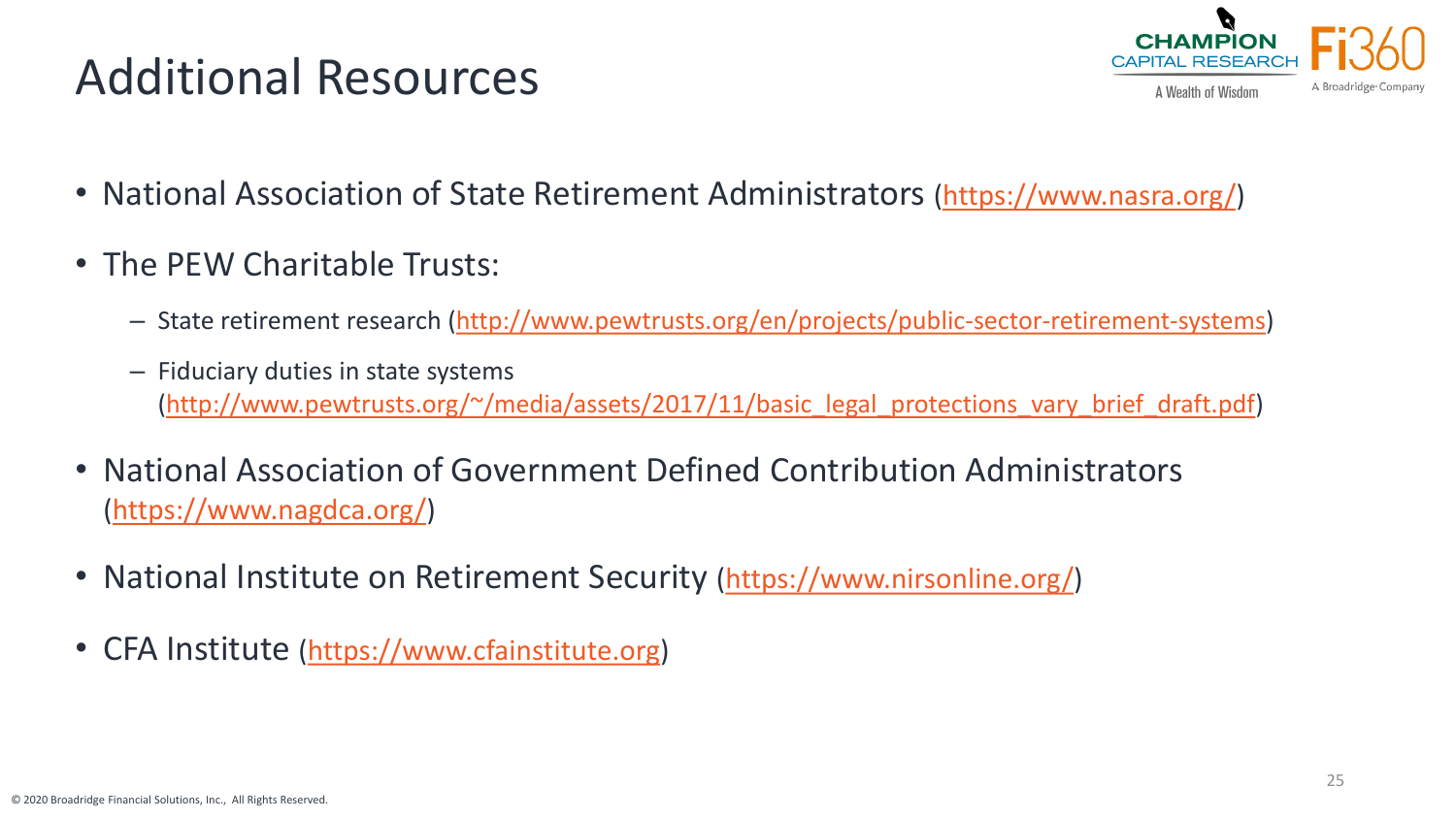# Additional Resources



- National Association of State Retirement Administrators (<https://www.nasra.org/>)
- The PEW Charitable Trusts:
	- State retirement research ([http://www.pewtrusts.org/en/projects/public-sector-retirement-systems\)](http://www.pewtrusts.org/en/projects/public-sector-retirement-systems)
	- Fiduciary duties in state systems [\(http://www.pewtrusts.org/~/media/assets/2017/11/basic\\_legal\\_protections\\_vary\\_brief\\_draft.pdf\)](http://www.pewtrusts.org/%7E/media/assets/2017/11/basic_legal_protections_vary_brief_draft.pdf)
- National Association of Government Defined Contribution Administrators [\(https://www.nagdca.org/](https://www.nagdca.org/))
- National Institute on Retirement Security [\(https://www.nirsonline.org/\)](https://www.nirsonline.org/)
- CFA Institute ([https://www.cfainstitute.org](https://www.cfainstitute.org/))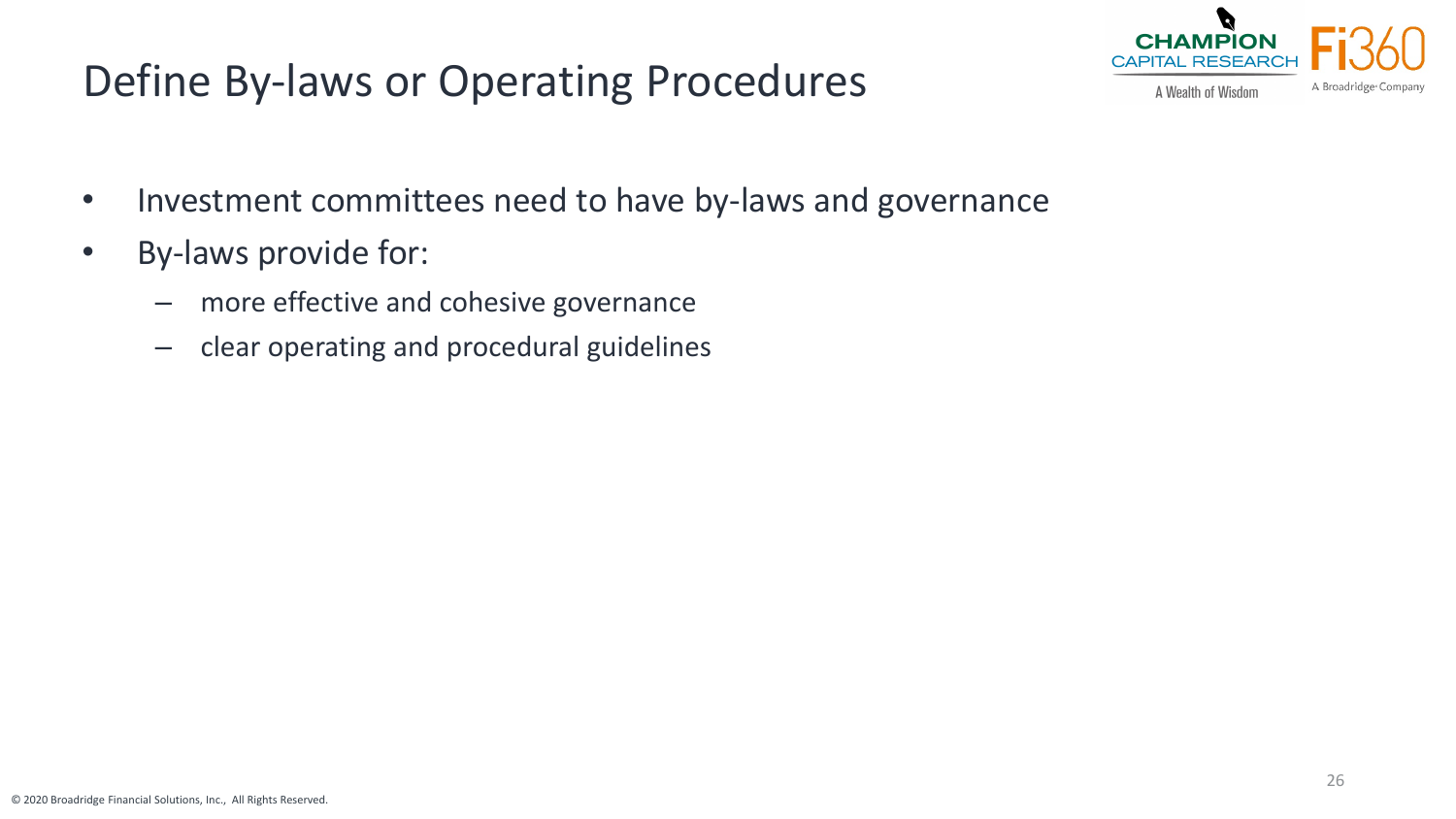#### Define By-laws or Operating Procedures



- Investment committees need to have by-laws and governance
- By-laws provide for:
	- more effective and cohesive governance
	- clear operating and procedural guidelines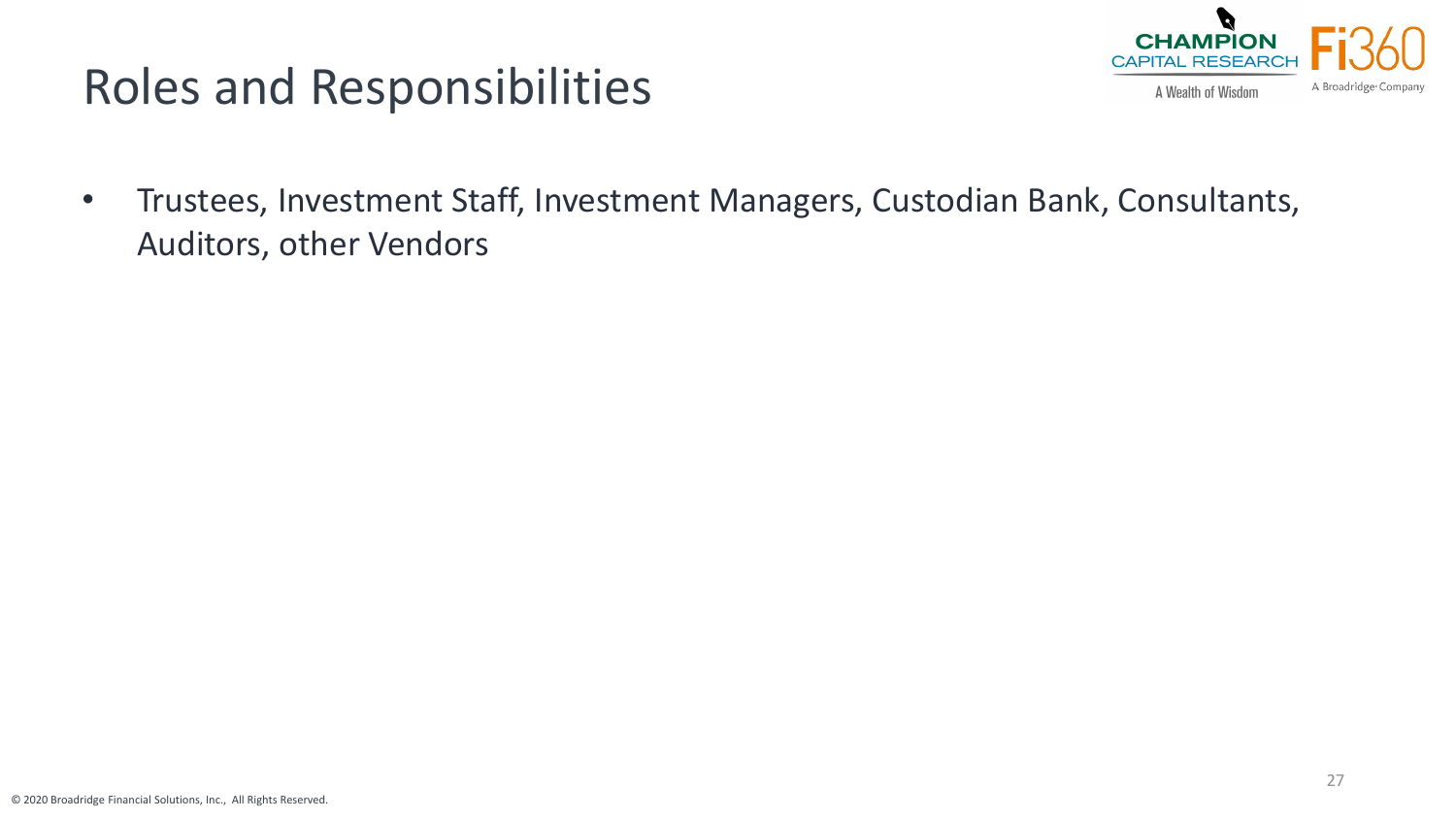

## Roles and Responsibilities

• Trustees, Investment Staff, Investment Managers, Custodian Bank, Consultants, Auditors, other Vendors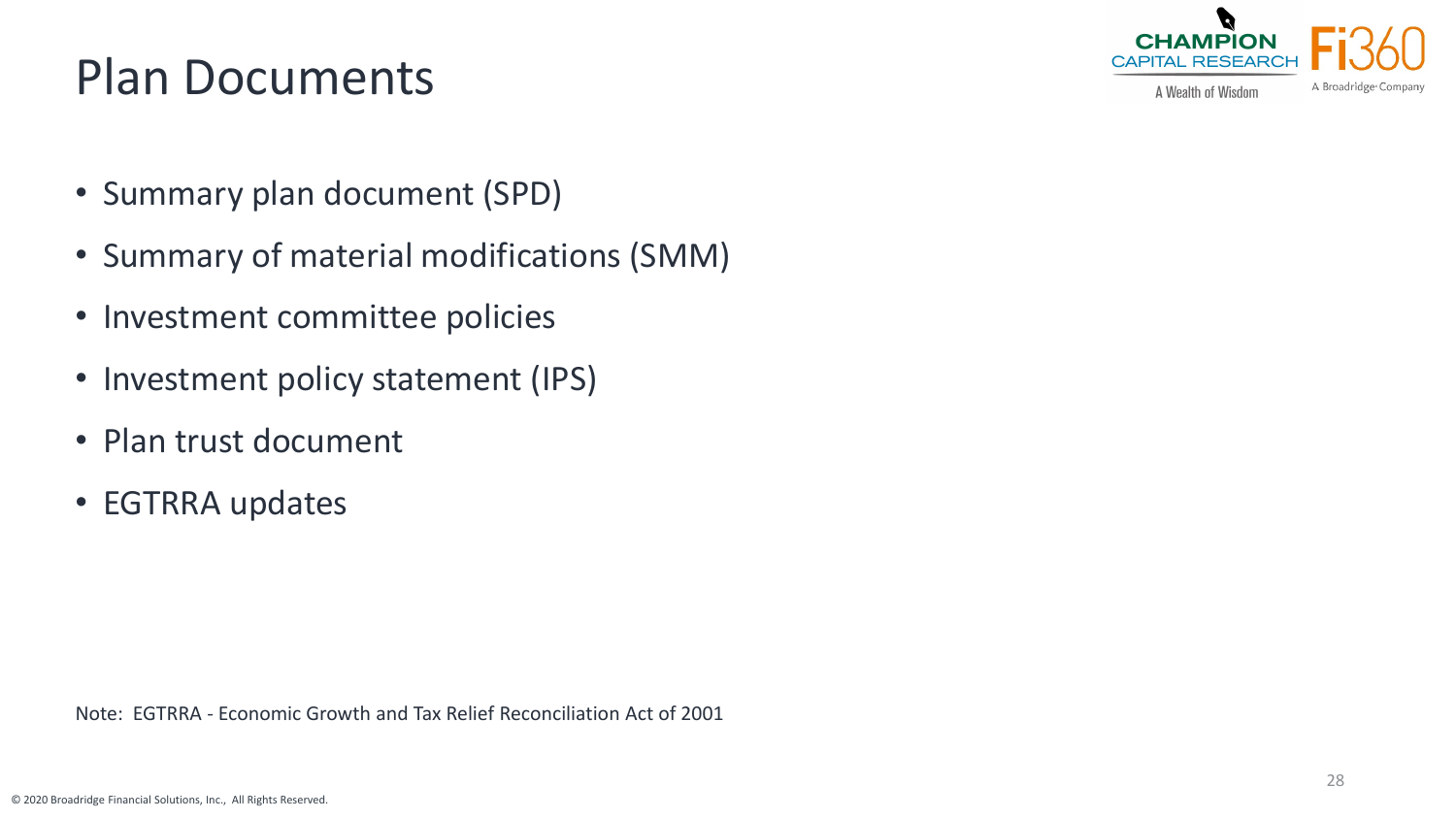# Plan Documents



A Wealth of Wisdom

- Summary plan document (SPD)
- Summary of material modifications (SMM)
- Investment committee policies
- Investment policy statement (IPS)
- Plan trust document
- EGTRRA updates

Note: EGTRRA - Economic Growth and Tax Relief Reconciliation Act of 2001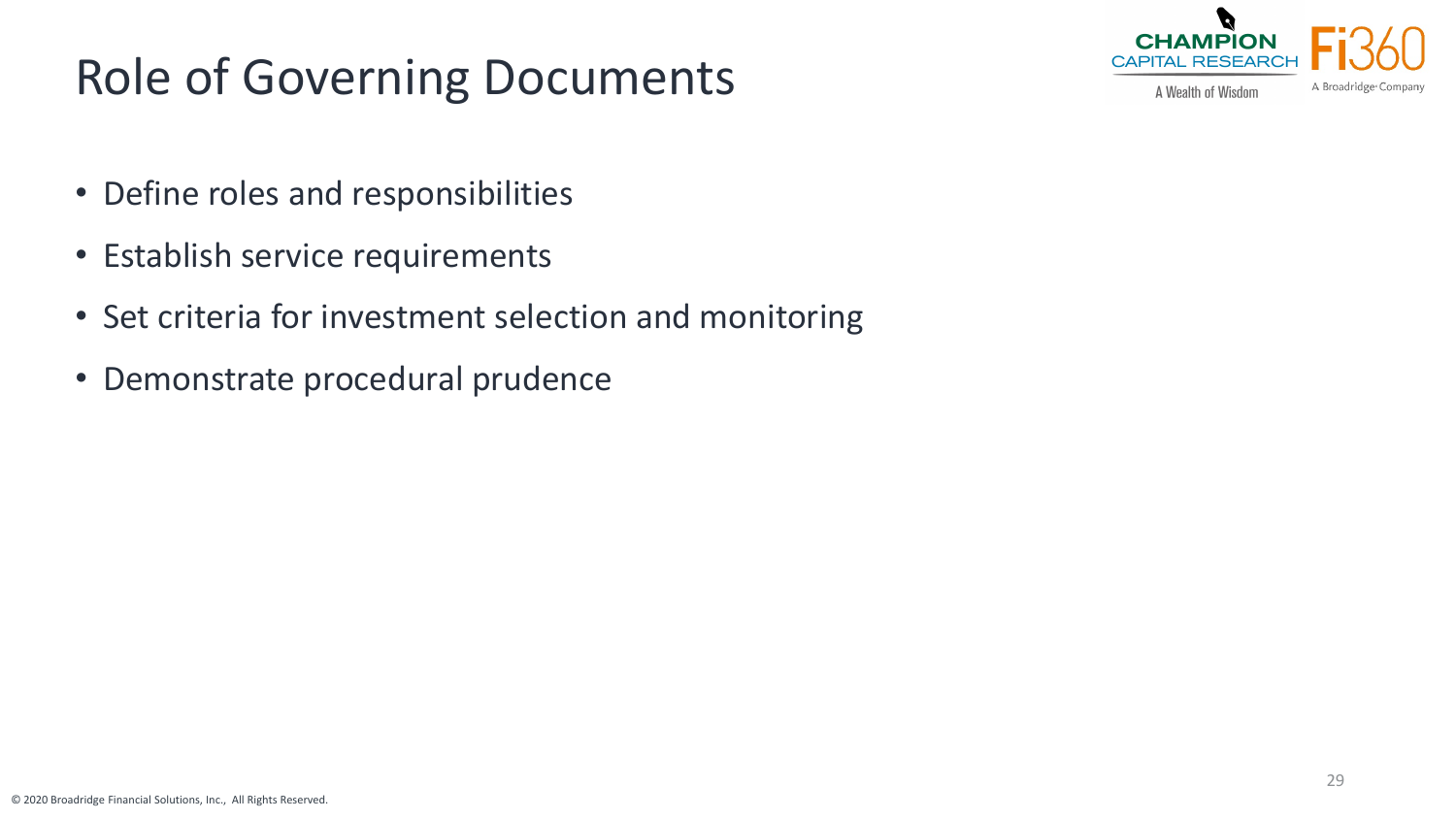# Role of Governing Documents



A Wealth of Wisdom

- Define roles and responsibilities
- Establish service requirements
- Set criteria for investment selection and monitoring
- Demonstrate procedural prudence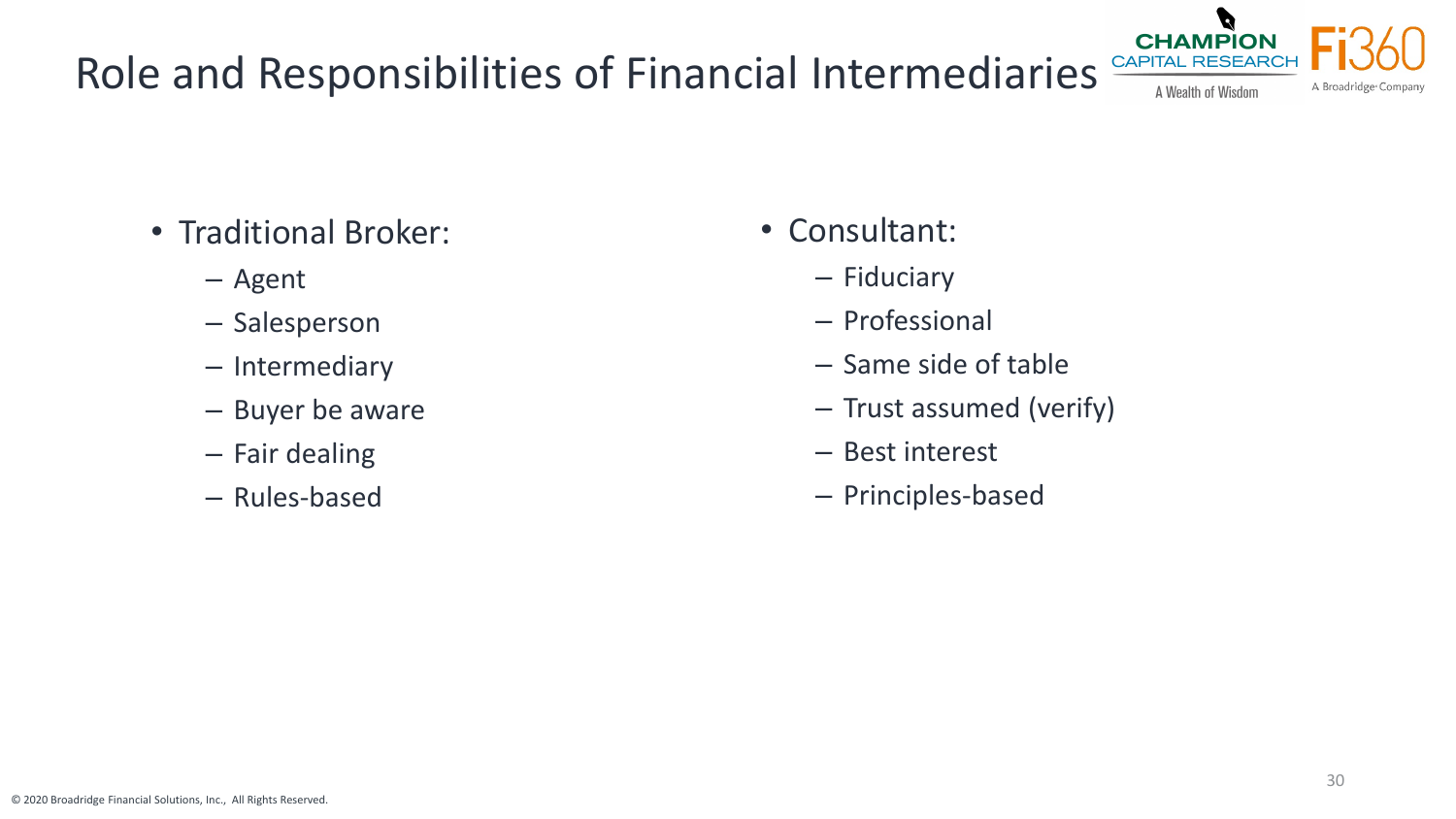## Role and Responsibilities of Financial Intermediaries

- Traditional Broker:
	- Agent
	- Salesperson
	- Intermediary
	- Buyer be aware
	- Fair dealing
	- Rules-based
- Consultant:
	- Fiduciary
	- Professional
	- Same side of table
	- Trust assumed (verify)
	- Best interest
	- Principles-based

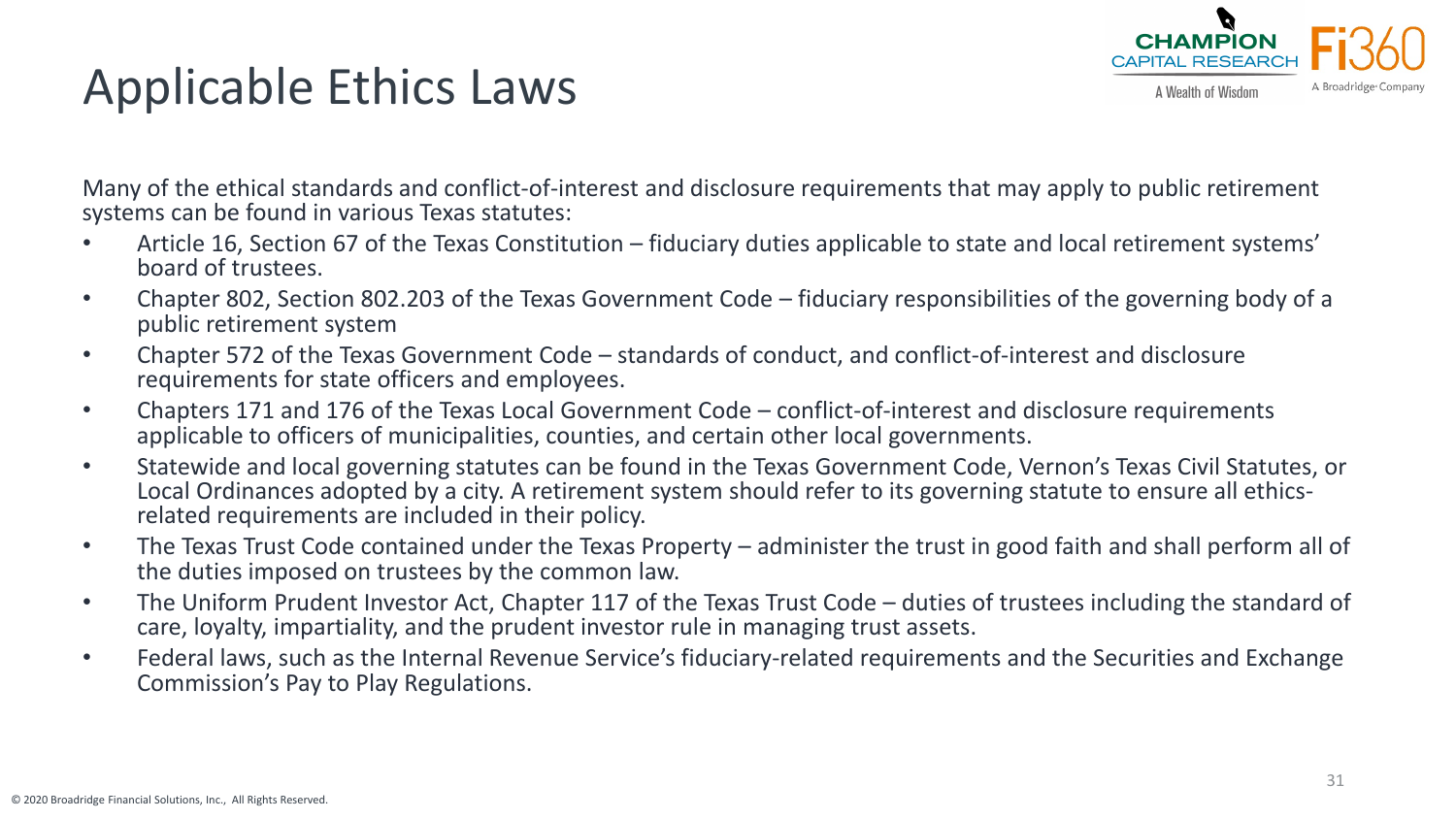# Applicable Ethics Laws



Many of the ethical standards and conflict-of-interest and disclosure requirements that may apply to public retirement systems can be found in various Texas statutes:

- Article 16, Section 67 of the Texas Constitution fiduciary duties applicable to state and local retirement systems' board of trustees.
- Chapter 802, Section 802.203 of the Texas Government Code fiduciary responsibilities of the governing body of a public retirement system
- Chapter 572 of the Texas Government Code standards of conduct, and conflict-of-interest and disclosure requirements for state officers and employees.
- Chapters 171 and 176 of the Texas Local Government Code conflict-of-interest and disclosure requirements applicable to officers of municipalities, counties, and certain other local governments.
- Statewide and local governing statutes can be found in the Texas Government Code, Vernon's Texas Civil Statutes, or Local Ordinances adopted by a city. A retirement system should refer to its governing statute to ensure all ethics- related requirements are included in their policy.
- The Texas Trust Code contained under the Texas Property administer the trust in good faith and shall perform all of the duties imposed on trustees by the common law.
- The Uniform Prudent Investor Act, Chapter 117 of the Texas Trust Code duties of trustees including the standard of care, loyalty, impartiality, and the prudent investor rule in managing trust assets.
- Federal laws, such as the Internal Revenue Service's fiduciary-related requirements and the Securities and Exchange Commission's Pay to Play Regulations.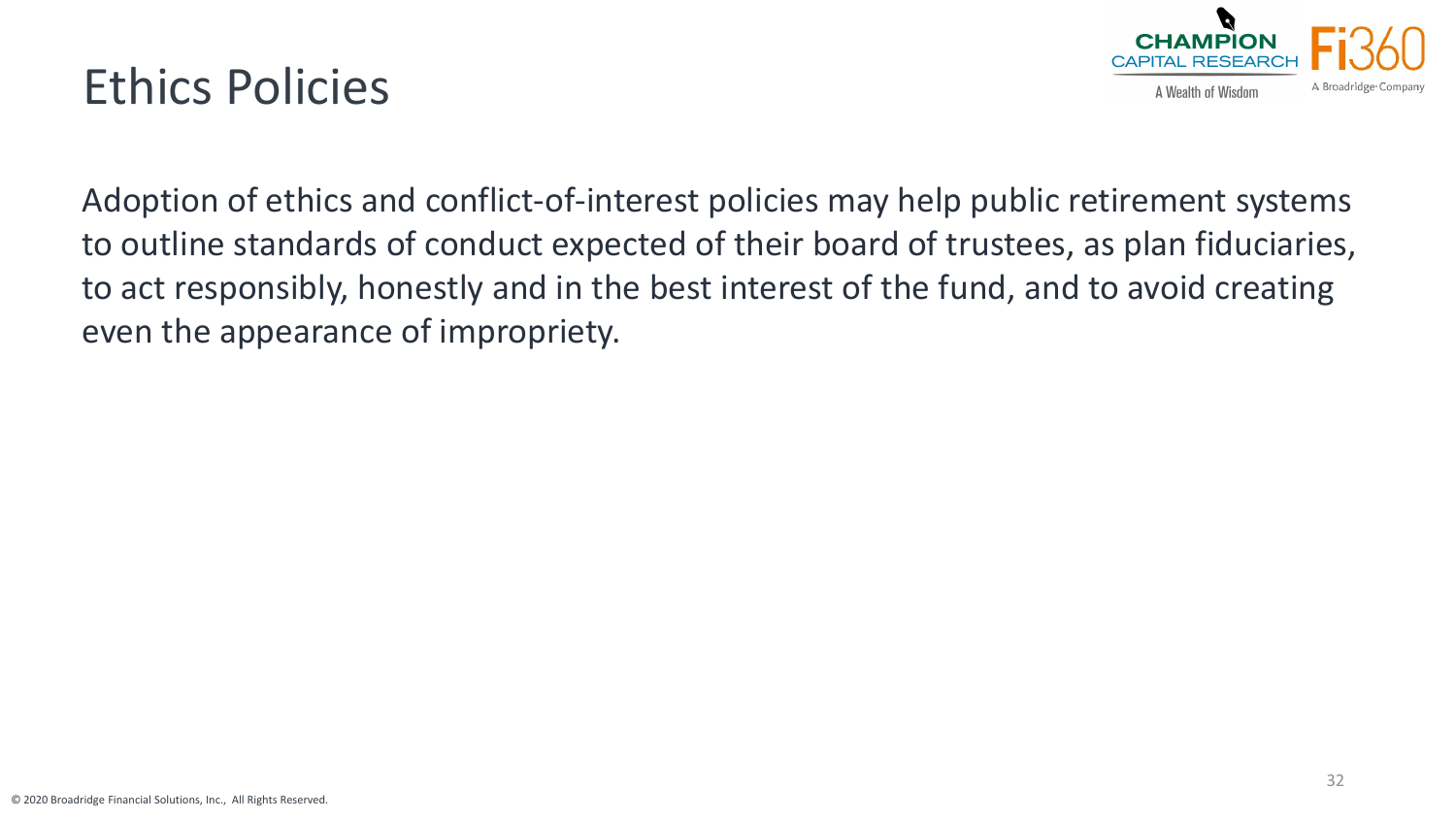# Ethics Policies



Adoption of ethics and conflict-of-interest policies may help public retirement systems to outline standards of conduct expected of their board of trustees, as plan fiduciaries, to act responsibly, honestly and in the best interest of the fund, and to avoid creating even the appearance of impropriety.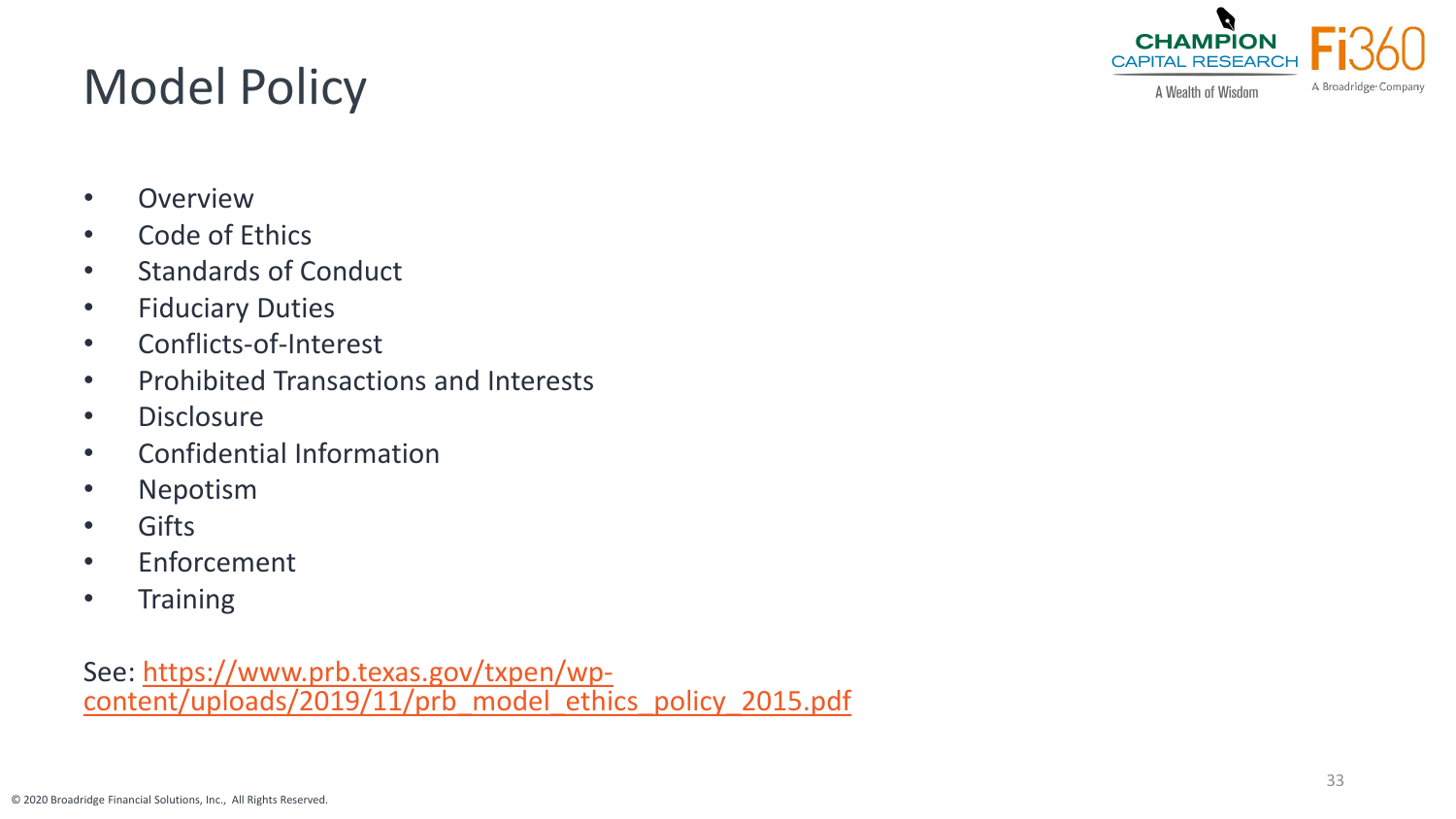© 2020 Broadridge Financial Solutions, Inc., All Rights Reserved.

# Model Policy

- Overview
- Code of Ethics
- Standards of Conduct
- Fiduciary Duties
- Conflicts-of-Interest
- Prohibited Transactions and Interests
- Disclosure
- Confidential Information
- Nepotism
- Gifts
- Enforcement
- Training

See: https://www.prb.texas.gov/txpen/wp-<br>[content/uploads/2019/11/prb\\_model\\_ethics\\_policy\\_2015.pdf](https://www.prb.texas.gov/txpen/wp-content/uploads/2019/11/prb_model_ethics_policy_2015.pdf)



A Wealth of Wisdom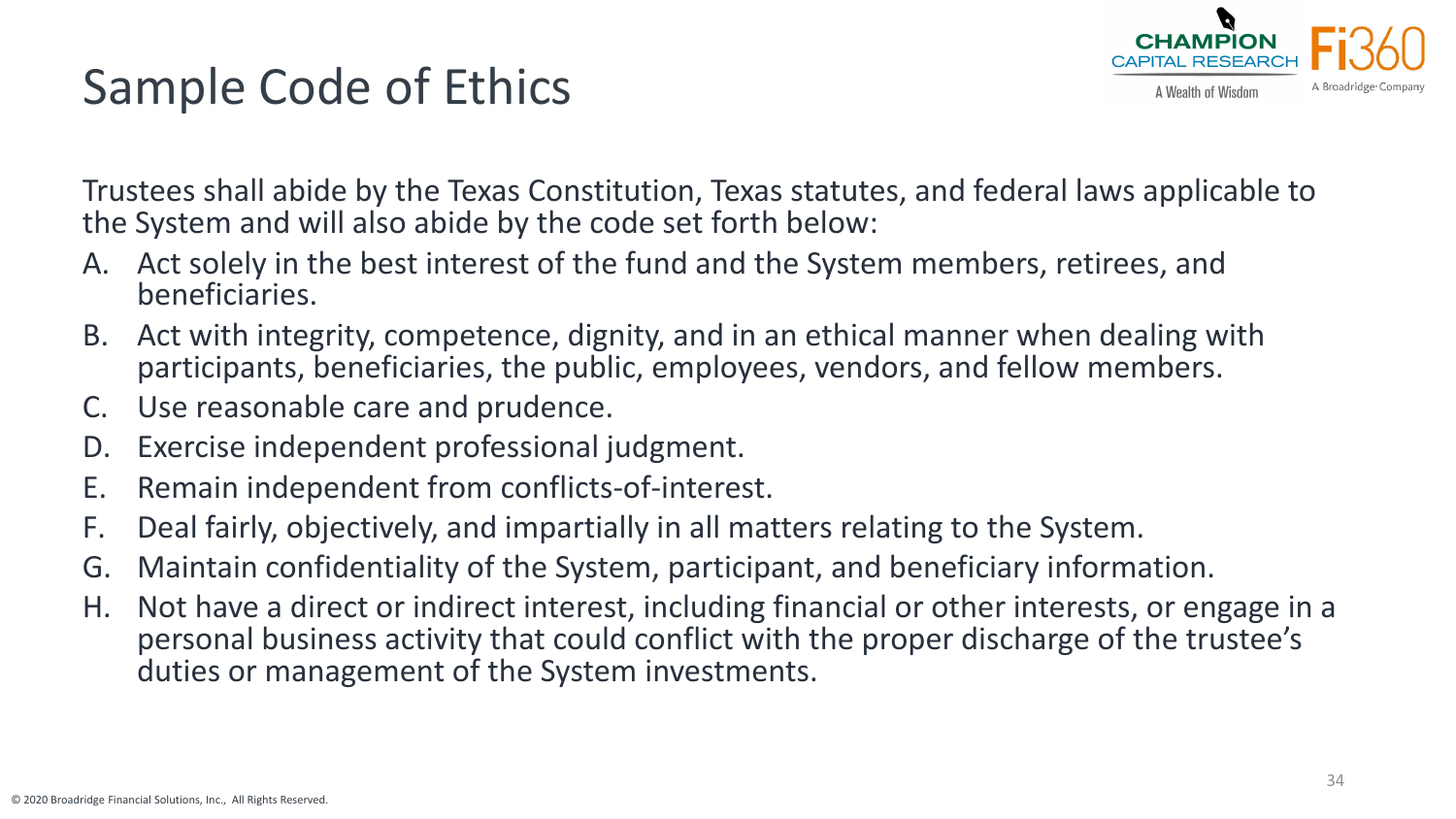# Sample Code of Ethics



Trustees shall abide by the Texas Constitution, Texas statutes, and federal laws applicable to the System and will also abide by the code set forth below:

- A. Act solely in the best interest of the fund and the System members, retirees, and beneficiaries.
- B. Act with integrity, competence, dignity, and in an ethical manner when dealing with participants, beneficiaries, the public, employees, vendors, and fellow members.
- C. Use reasonable care and prudence.
- D. Exercise independent professional judgment.
- E. Remain independent from conflicts-of-interest.
- F. Deal fairly, objectively, and impartially in all matters relating to the System.
- G. Maintain confidentiality of the System, participant, and beneficiary information.
- H. Not have a direct or indirect interest, including financial or other interests, or engage in a personal business activity that could conflict with the proper discharge of the trustee's duties or management of the System investments.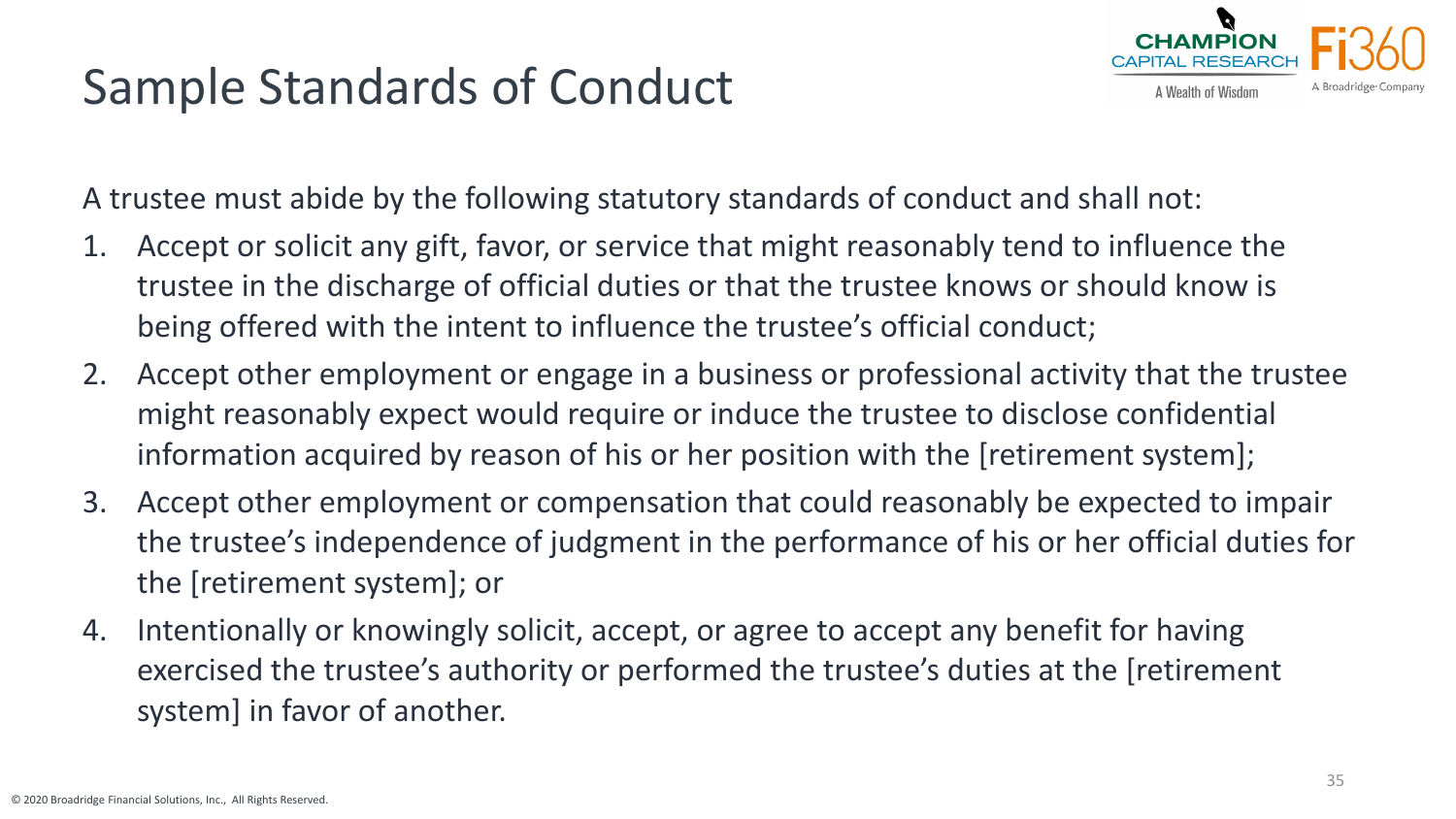# Sample Standards of Conduct



A trustee must abide by the following statutory standards of conduct and shall not:

- 1. Accept or solicit any gift, favor, or service that might reasonably tend to influence the trustee in the discharge of official duties or that the trustee knows or should know is being offered with the intent to influence the trustee's official conduct;
- 2. Accept other employment or engage in a business or professional activity that the trustee might reasonably expect would require or induce the trustee to disclose confidential information acquired by reason of his or her position with the [retirement system];
- 3. Accept other employment or compensation that could reasonably be expected to impair the trustee's independence of judgment in the performance of his or her official duties for the [retirement system]; or
- 4. Intentionally or knowingly solicit, accept, or agree to accept any benefit for having exercised the trustee's authority or performed the trustee's duties at the [retirement system] in favor of another.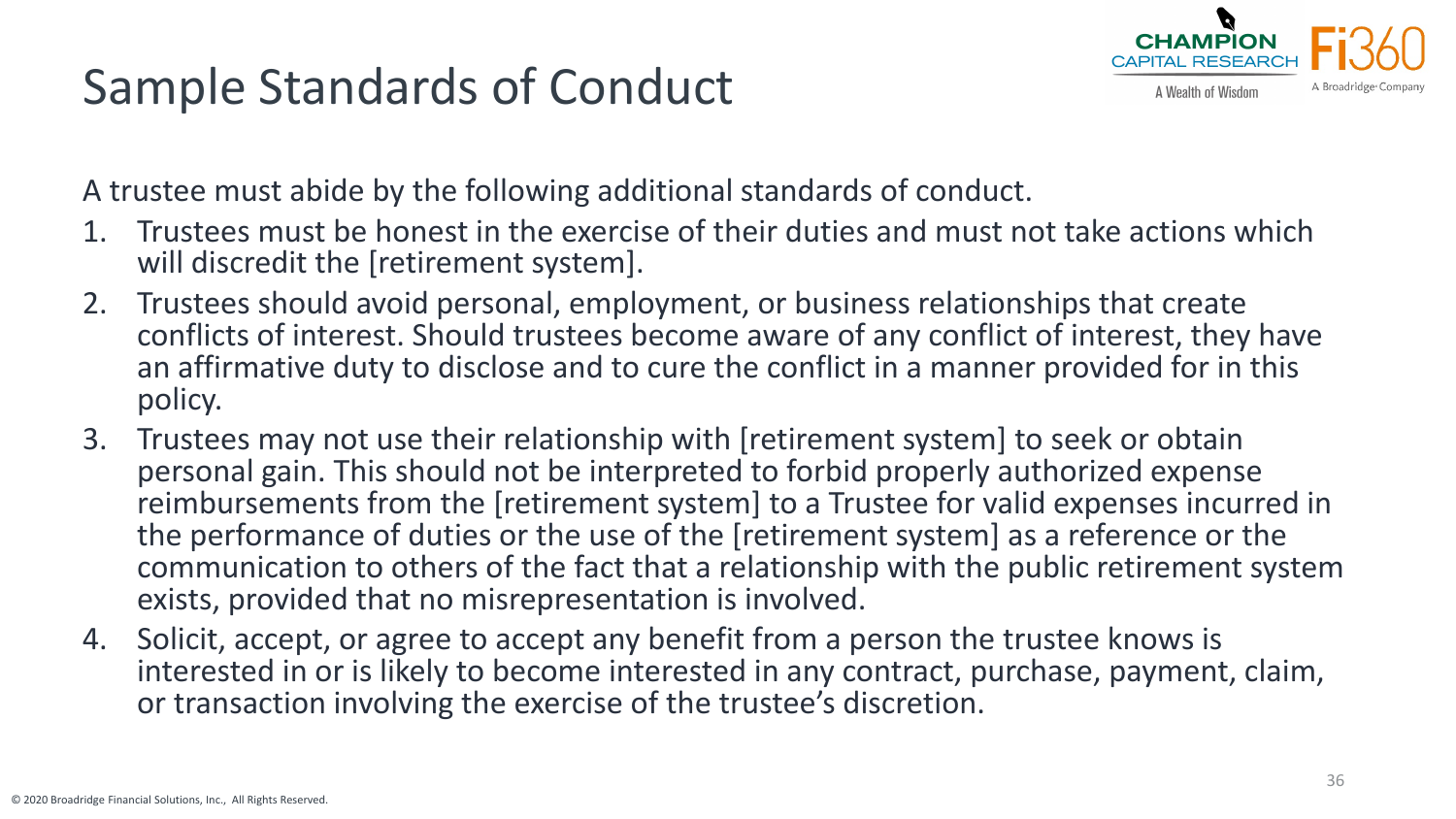# Sample Standards of Conduct



A trustee must abide by the following additional standards of conduct.

- 1. Trustees must be honest in the exercise of their duties and must not take actions which will discredit the [retirement system].
- 2. Trustees should avoid personal, employment, or business relationships that create conflicts of interest. Should trustees become aware of any conflict of interest, they have an affirmative duty to disclose and to cure the conflict in a manner provided for in this policy.
- 3. Trustees may not use their relationship with [retirement system] to seek or obtain personal gain. This should not be interpreted to forbid properly authorized expense reimbursements from the [retirement system] to a Trustee for valid expenses incurred in the performance of duties or the use of the [retirement system] as a reference or the communication to others of the fact that a relationship with the public retirement system exists, provided that no misrepresentation is involved.
- 4. Solicit, accept, or agree to accept any benefit from a person the trustee knows is interested in or is likely to become interested in any contract, purchase, payment, claim, or transaction involving the exercise of the trustee's discretion.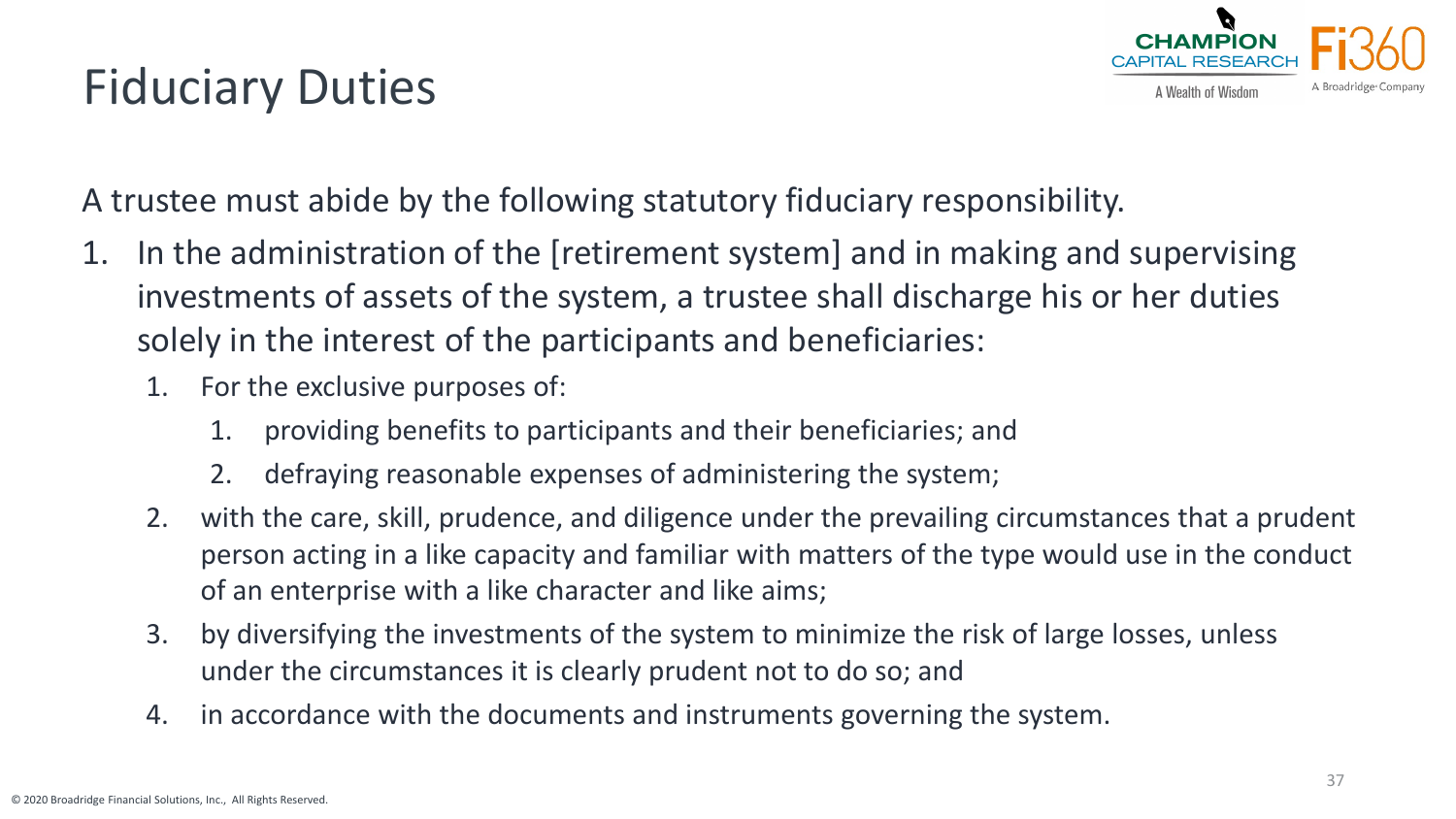# Fiduciary Duties



A trustee must abide by the following statutory fiduciary responsibility.

- 1. In the administration of the [retirement system] and in making and supervising investments of assets of the system, a trustee shall discharge his or her duties solely in the interest of the participants and beneficiaries:
	- 1. For the exclusive purposes of:
		- 1. providing benefits to participants and their beneficiaries; and
		- 2. defraying reasonable expenses of administering the system;
	- 2. with the care, skill, prudence, and diligence under the prevailing circumstances that a prudent person acting in a like capacity and familiar with matters of the type would use in the conduct of an enterprise with a like character and like aims;
	- 3. by diversifying the investments of the system to minimize the risk of large losses, unless under the circumstances it is clearly prudent not to do so; and
	- 4. in accordance with the documents and instruments governing the system.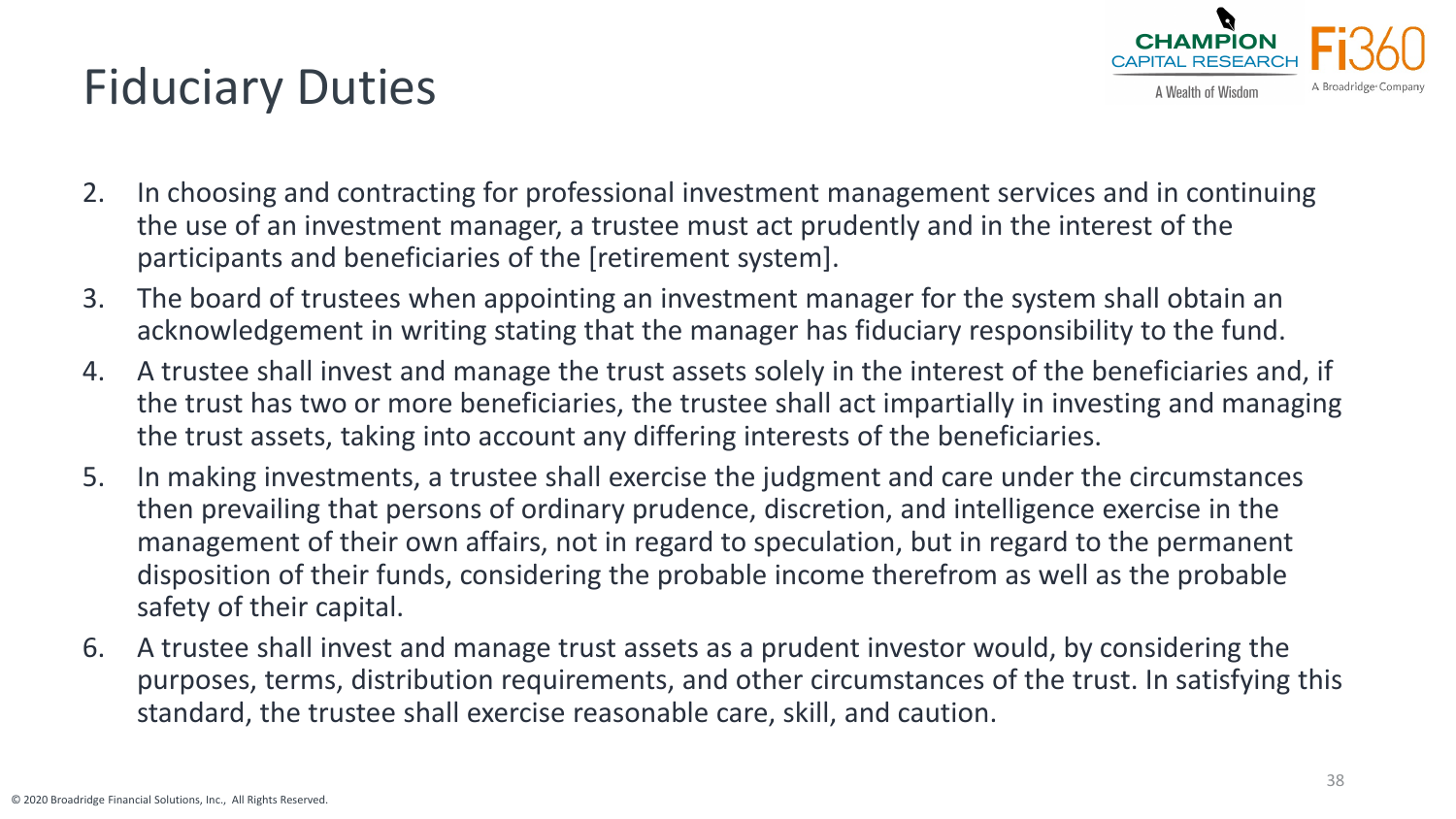# Fiduciary Duties



- 2. In choosing and contracting for professional investment management services and in continuing the use of an investment manager, a trustee must act prudently and in the interest of the participants and beneficiaries of the [retirement system].
- 3. The board of trustees when appointing an investment manager for the system shall obtain an acknowledgement in writing stating that the manager has fiduciary responsibility to the fund.
- 4. A trustee shall invest and manage the trust assets solely in the interest of the beneficiaries and, if the trust has two or more beneficiaries, the trustee shall act impartially in investing and managing the trust assets, taking into account any differing interests of the beneficiaries.
- 5. In making investments, a trustee shall exercise the judgment and care under the circumstances then prevailing that persons of ordinary prudence, discretion, and intelligence exercise in the management of their own affairs, not in regard to speculation, but in regard to the permanent disposition of their funds, considering the probable income therefrom as well as the probable safety of their capital.
- 6. A trustee shall invest and manage trust assets as a prudent investor would, by considering the purposes, terms, distribution requirements, and other circumstances of the trust. In satisfying this standard, the trustee shall exercise reasonable care, skill, and caution.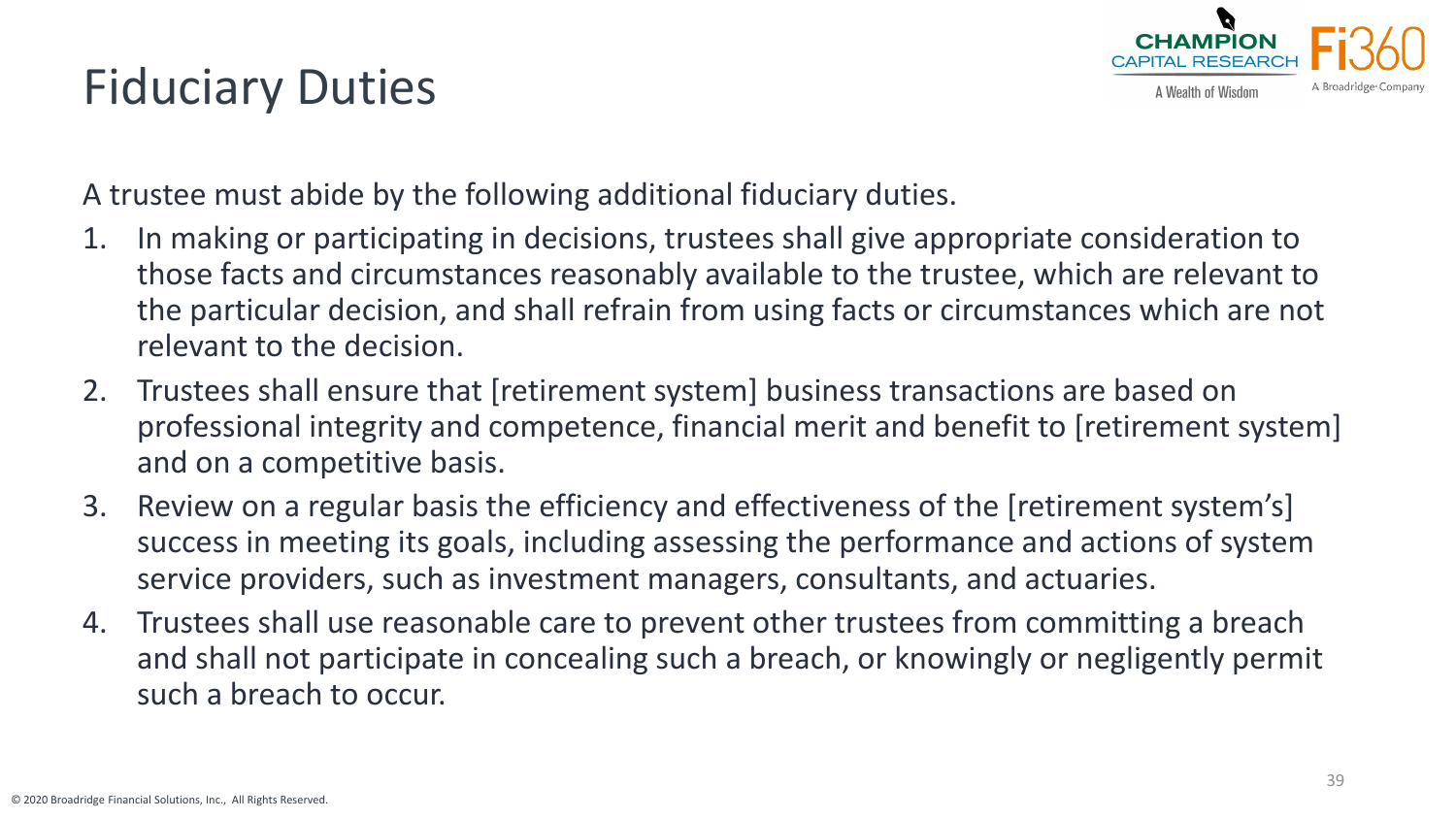#### CHAMPION CAPITAI RESEARO A Wealth of Wisdom

# Fiduciary Duties

A trustee must abide by the following additional fiduciary duties.

- 1. In making or participating in decisions, trustees shall give appropriate consideration to those facts and circumstances reasonably available to the trustee, which are relevant to the particular decision, and shall refrain from using facts or circumstances which are not relevant to the decision.
- 2. Trustees shall ensure that [retirement system] business transactions are based on professional integrity and competence, financial merit and benefit to [retirement system] and on a competitive basis.
- 3. Review on a regular basis the efficiency and effectiveness of the [retirement system's] success in meeting its goals, including assessing the performance and actions of system service providers, such as investment managers, consultants, and actuaries.
- 4. Trustees shall use reasonable care to prevent other trustees from committing a breach and shall not participate in concealing such a breach, or knowingly or negligently permit such a breach to occur.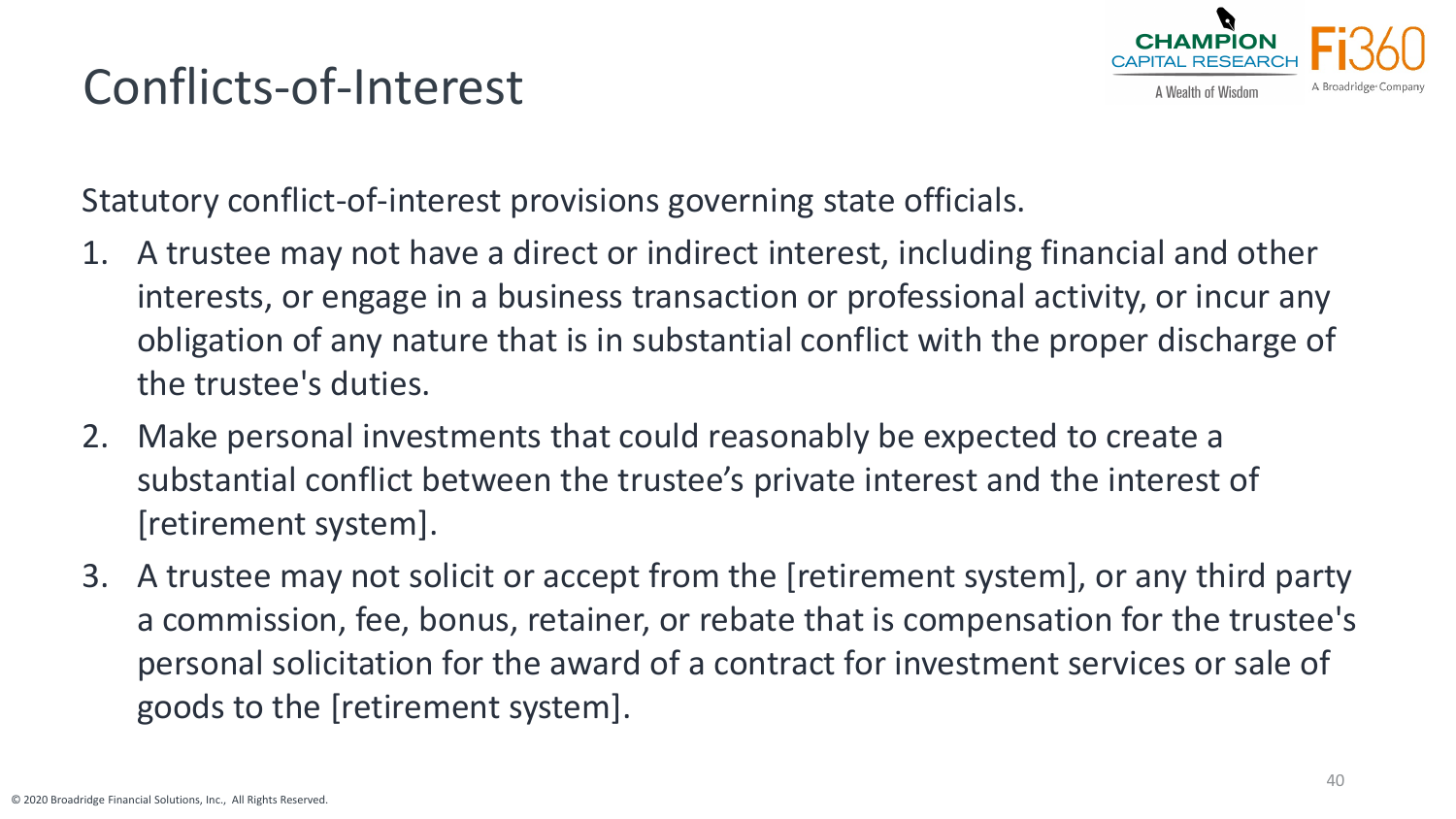# A Wealth of Wisdom

# Conflicts-of-Interest

Statutory conflict-of-interest provisions governing state officials.

- 1. A trustee may not have a direct or indirect interest, including financial and other interests, or engage in a business transaction or professional activity, or incur any obligation of any nature that is in substantial conflict with the proper discharge of the trustee's duties.
- 2. Make personal investments that could reasonably be expected to create a substantial conflict between the trustee's private interest and the interest of [retirement system].
- 3. A trustee may not solicit or accept from the [retirement system], or any third party a commission, fee, bonus, retainer, or rebate that is compensation for the trustee's personal solicitation for the award of a contract for investment services or sale of goods to the [retirement system].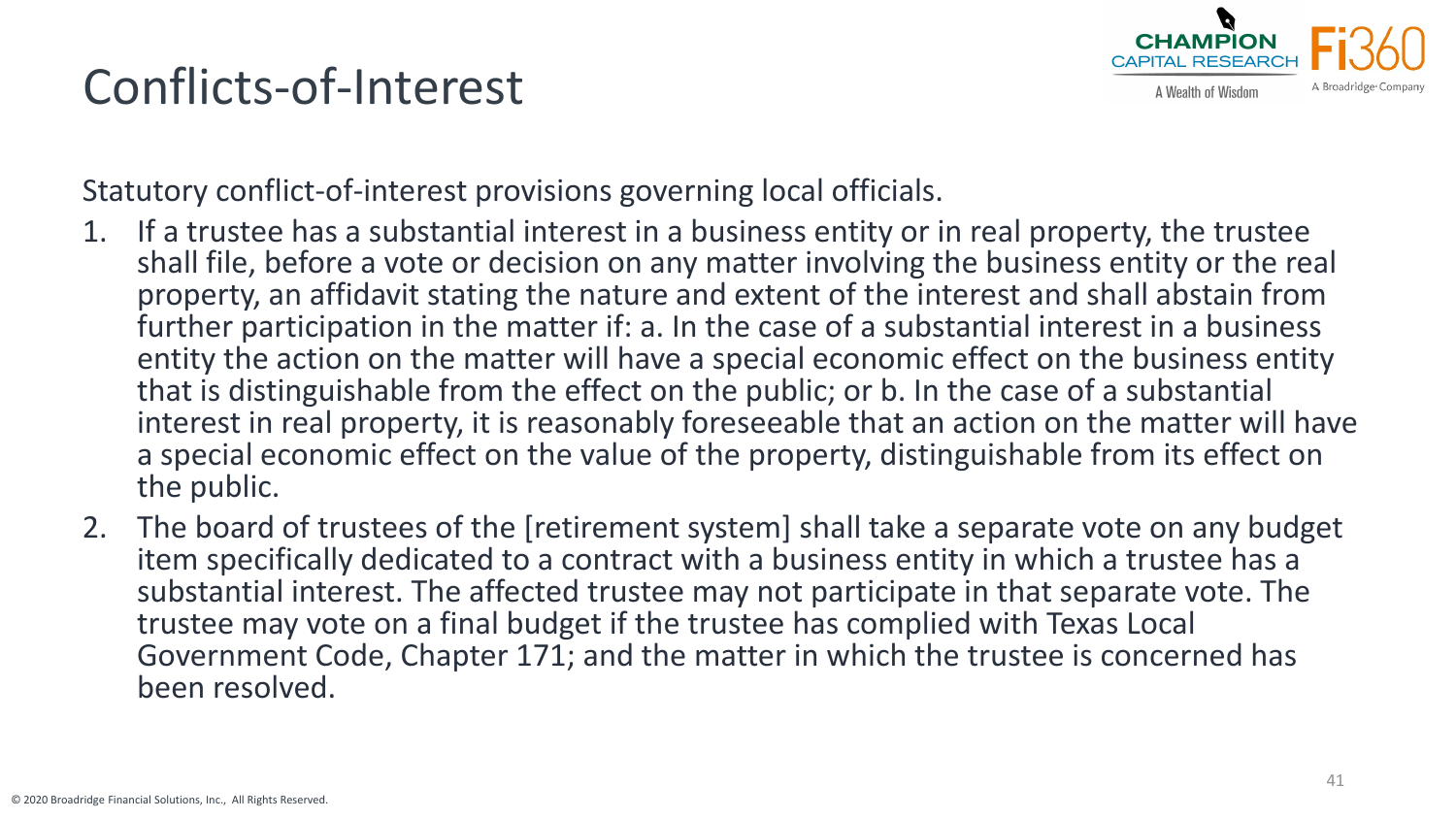# Conflicts-of-Interest



Statutory conflict-of-interest provisions governing local officials.

- 1. If a trustee has a substantial interest in a business entity or in real property, the trustee shall file, before a vote or decision on any matter involving the business entity or the real property, an affidavit stating the nature and extent of the interest and shall abstain from further participation in the matter if: a. In the case of a substantial interest in a business entity the action on the matter will have a special economic effect on the business entity that is distinguishable from the effect on the public; or b. In the case of a substantial interest in real property, it is reasonably foreseeable that an action on the matter will have a special economic effect on the value of the property, distinguishable from its effect on the public.
- 2. The board of trustees of the [retirement system] shall take a separate vote on any budget item specifically dedicated to a contract with a business entity in which a trustee has a substantial interest. The affected trustee may not participate in that separate vote. The trustee may vote on a final budget if the trustee has complied with Texas Local Government Code, Chapter 171; and the matter in which the trustee is concerned has been resolved.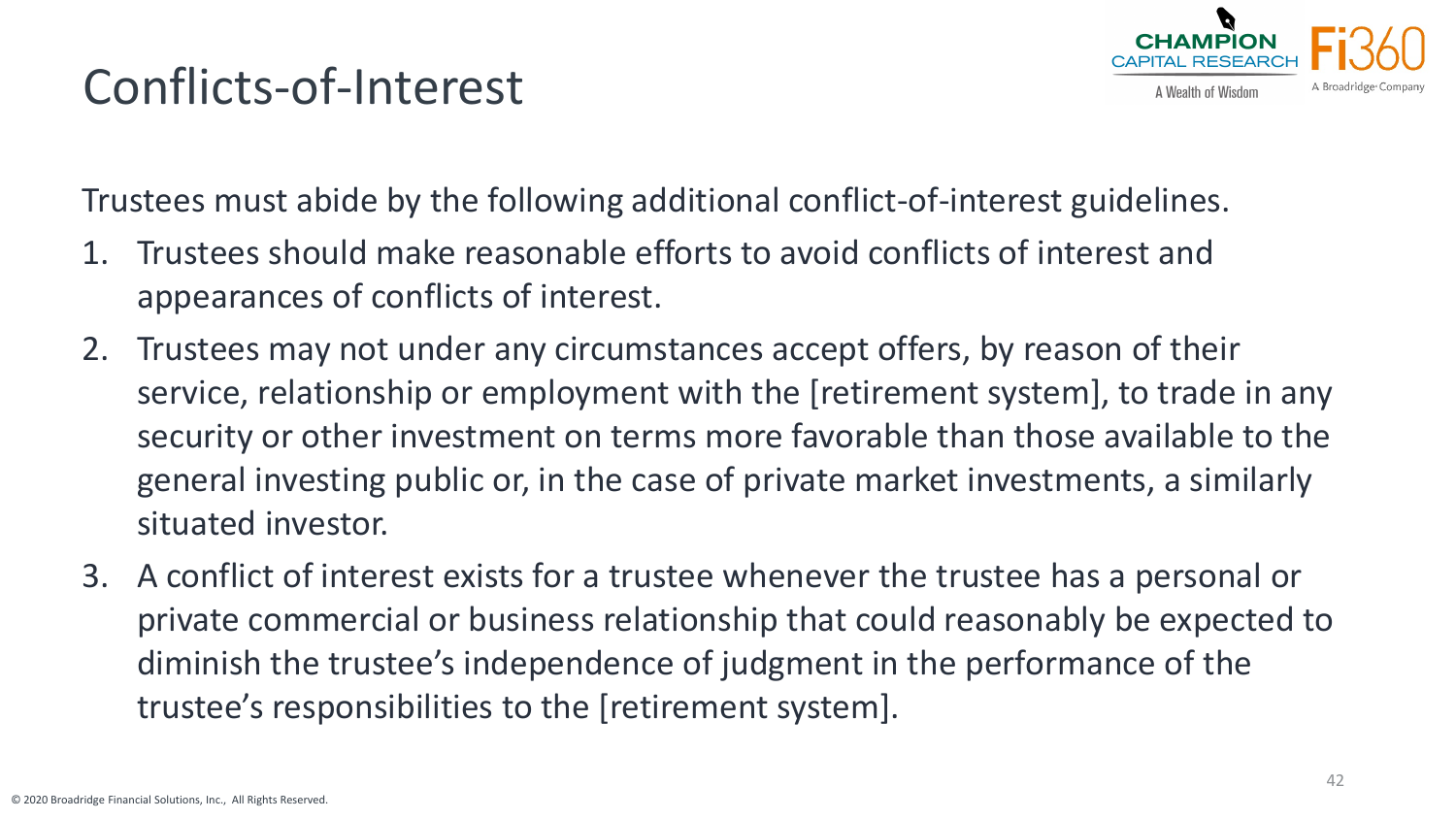# Conflicts-of-Interest



Trustees must abide by the following additional conflict-of-interest guidelines.

- 1. Trustees should make reasonable efforts to avoid conflicts of interest and appearances of conflicts of interest.
- 2. Trustees may not under any circumstances accept offers, by reason of their service, relationship or employment with the [retirement system], to trade in any security or other investment on terms more favorable than those available to the general investing public or, in the case of private market investments, a similarly situated investor.
- 3. A conflict of interest exists for a trustee whenever the trustee has a personal or private commercial or business relationship that could reasonably be expected to diminish the trustee's independence of judgment in the performance of the trustee's responsibilities to the [retirement system].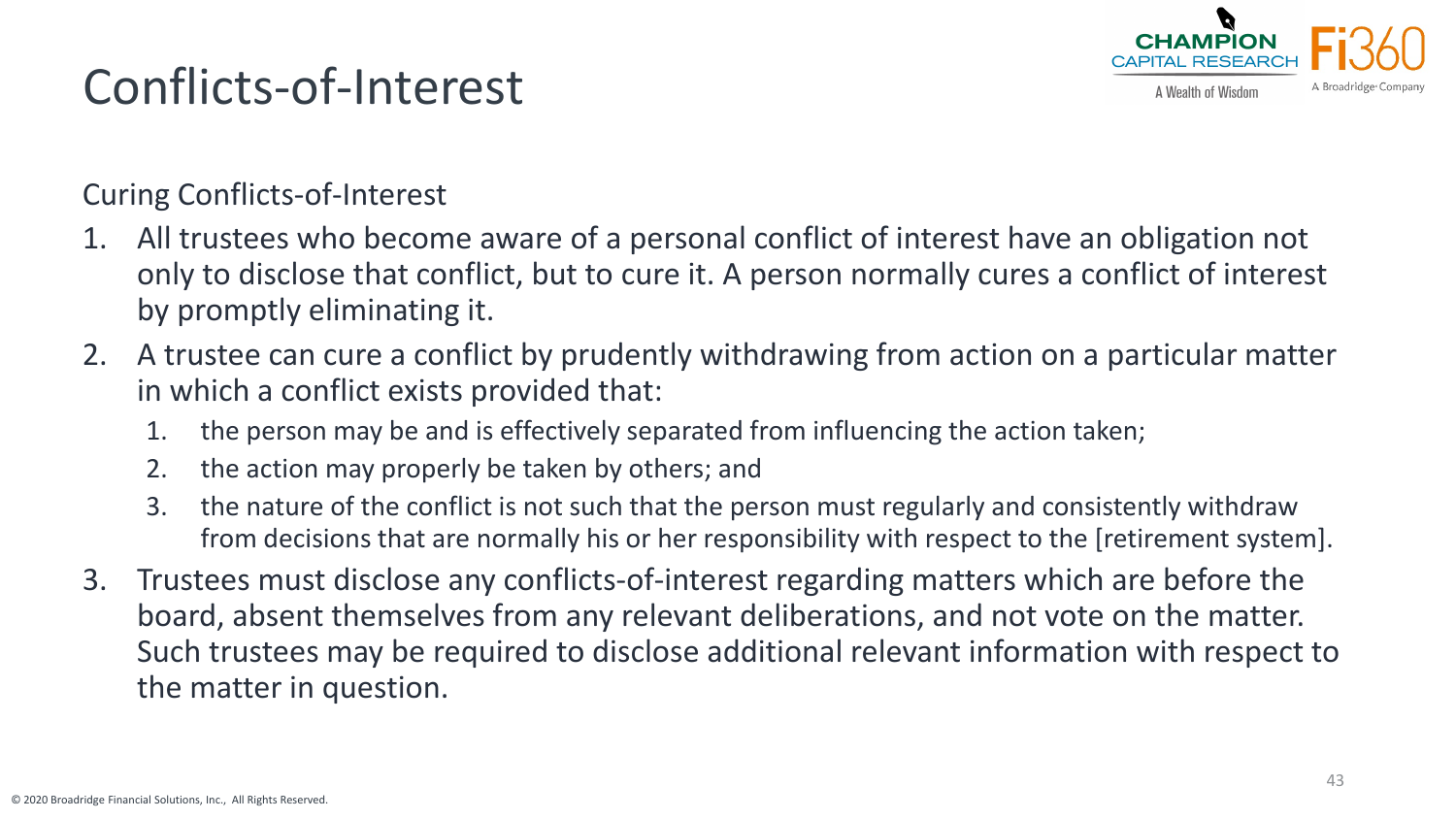

# Conflicts-of-Interest

Curing Conflicts-of-Interest

- 1. All trustees who become aware of a personal conflict of interest have an obligation not only to disclose that conflict, but to cure it. A person normally cures a conflict of interest by promptly eliminating it.
- 2. A trustee can cure a conflict by prudently withdrawing from action on a particular matter in which a conflict exists provided that:
	- 1. the person may be and is effectively separated from influencing the action taken;
	- 2. the action may properly be taken by others; and
	- 3. the nature of the conflict is not such that the person must regularly and consistently withdraw from decisions that are normally his or her responsibility with respect to the [retirement system].
- 3. Trustees must disclose any conflicts-of-interest regarding matters which are before the board, absent themselves from any relevant deliberations, and not vote on the matter. Such trustees may be required to disclose additional relevant information with respect to the matter in question.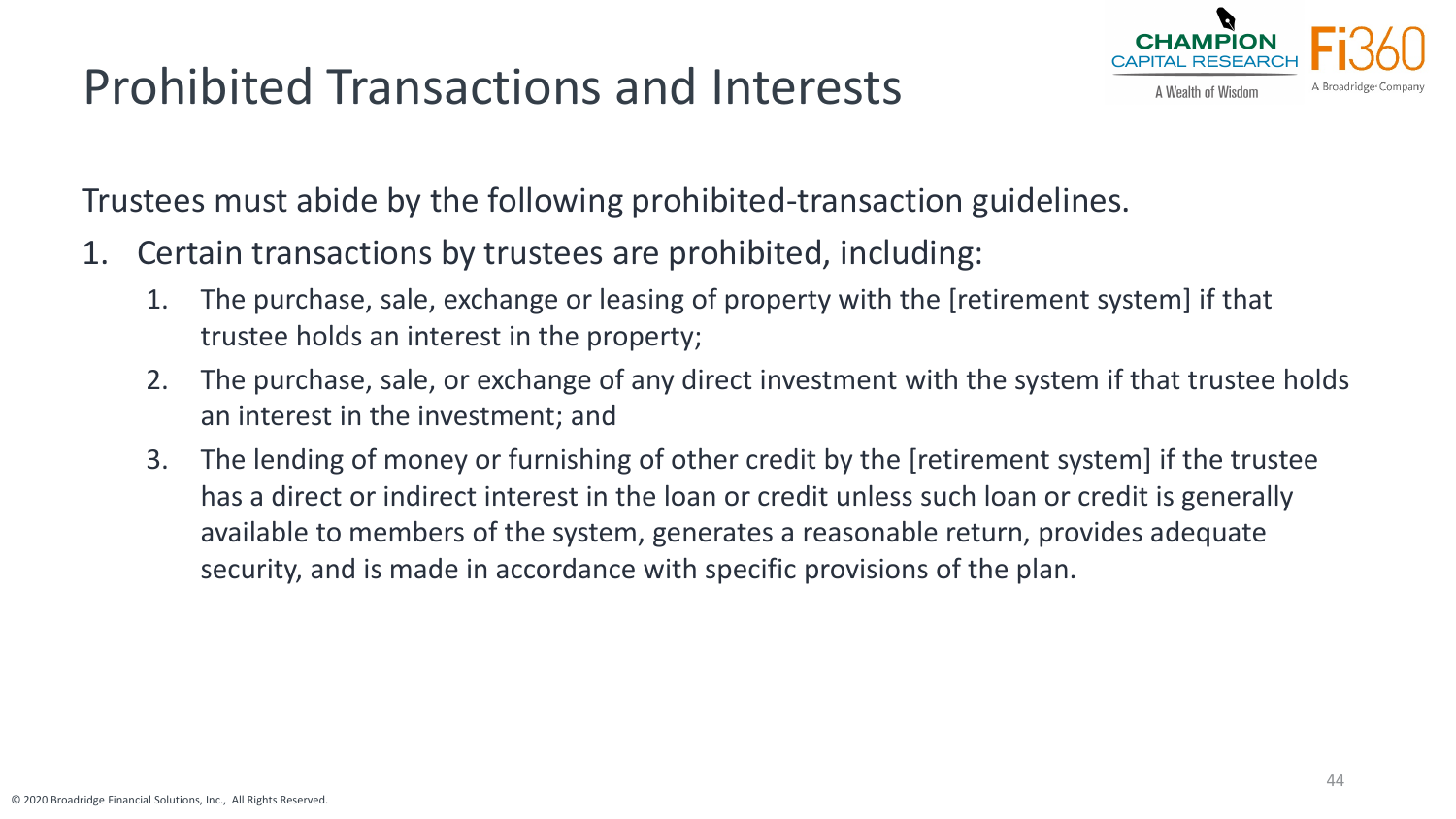# Prohibited Transactions and Interests



Trustees must abide by the following prohibited-transaction guidelines.

- 1. Certain transactions by trustees are prohibited, including:
	- 1. The purchase, sale, exchange or leasing of property with the [retirement system] if that trustee holds an interest in the property;
	- 2. The purchase, sale, or exchange of any direct investment with the system if that trustee holds an interest in the investment; and
	- 3. The lending of money or furnishing of other credit by the [retirement system] if the trustee has a direct or indirect interest in the loan or credit unless such loan or credit is generally available to members of the system, generates a reasonable return, provides adequate security, and is made in accordance with specific provisions of the plan.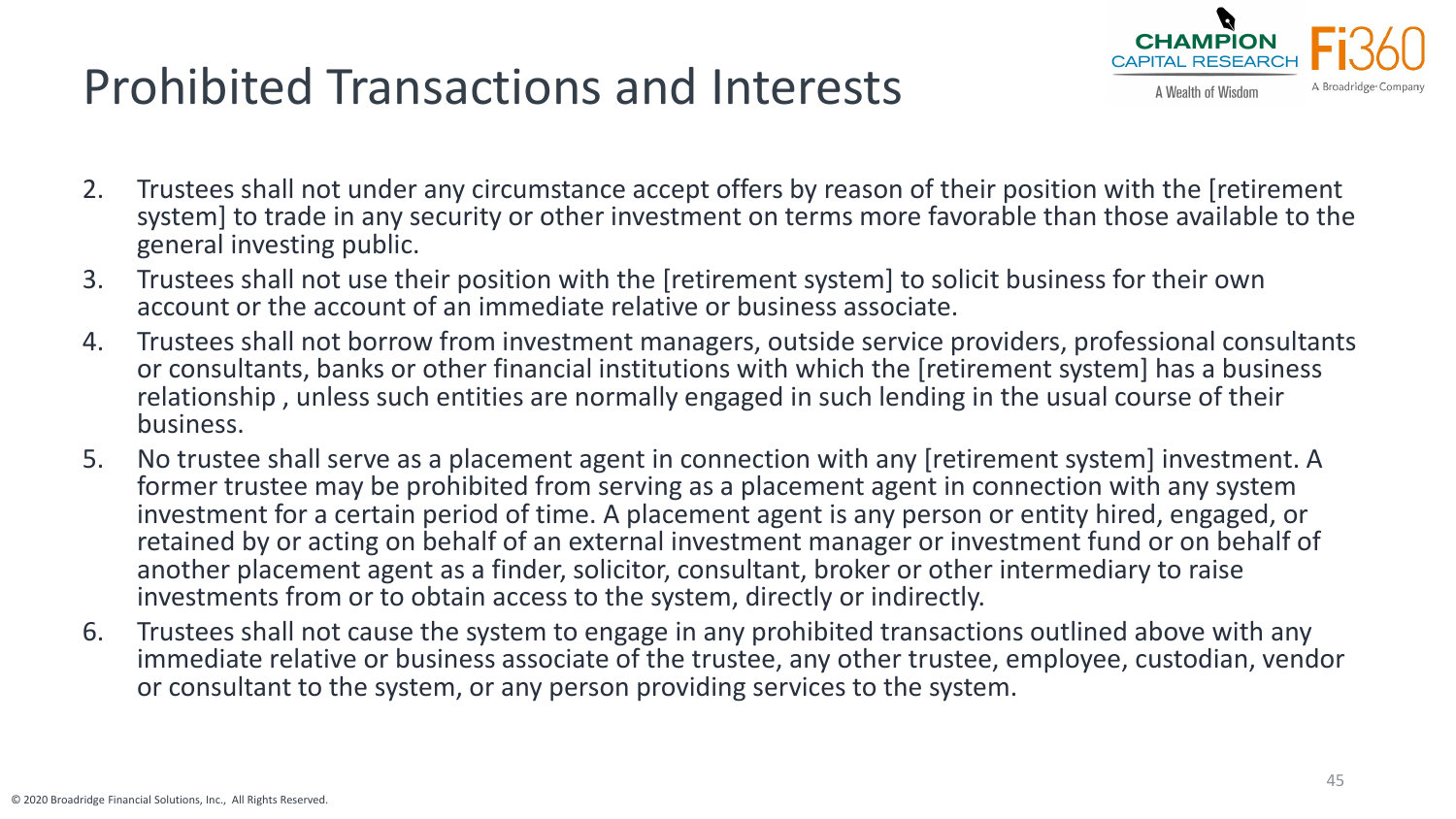# Prohibited Transactions and Interests



- 2. Trustees shall not under any circumstance accept offers by reason of their position with the [retirement system] to trade in any security or other investment on terms more favorable than those available to the general investing public.
- 3. Trustees shall not use their position with the [retirement system] to solicit business for their own account or the account of an immediate relative or business associate.
- 4. Trustees shall not borrow from investment managers, outside service providers, professional consultants or consultants, banks or other financial institutions with which the [retirement system] has a business relationship , unless such entities are normally engaged in such lending in the usual course of their business.
- 5. No trustee shall serve as a placement agent in connection with any [retirement system] investment. A former trustee may be prohibited from serving as a placement agent in connection with any system investment for a certain period of time. A placement agent is any person or entity hired, engaged, or retained by or acting on behalf of an external investment manager or investment fund or on behalf of another placement agent as a finder, solicitor, consultant, broker or other intermediary to raise investments from or to obtain access to the system, directly or indirectly.
- 6. Trustees shall not cause the system to engage in any prohibited transactions outlined above with any immediate relative or business associate of the trustee, any other trustee, employee, custodian, vendor or consultant to the system, or any person providing services to the system.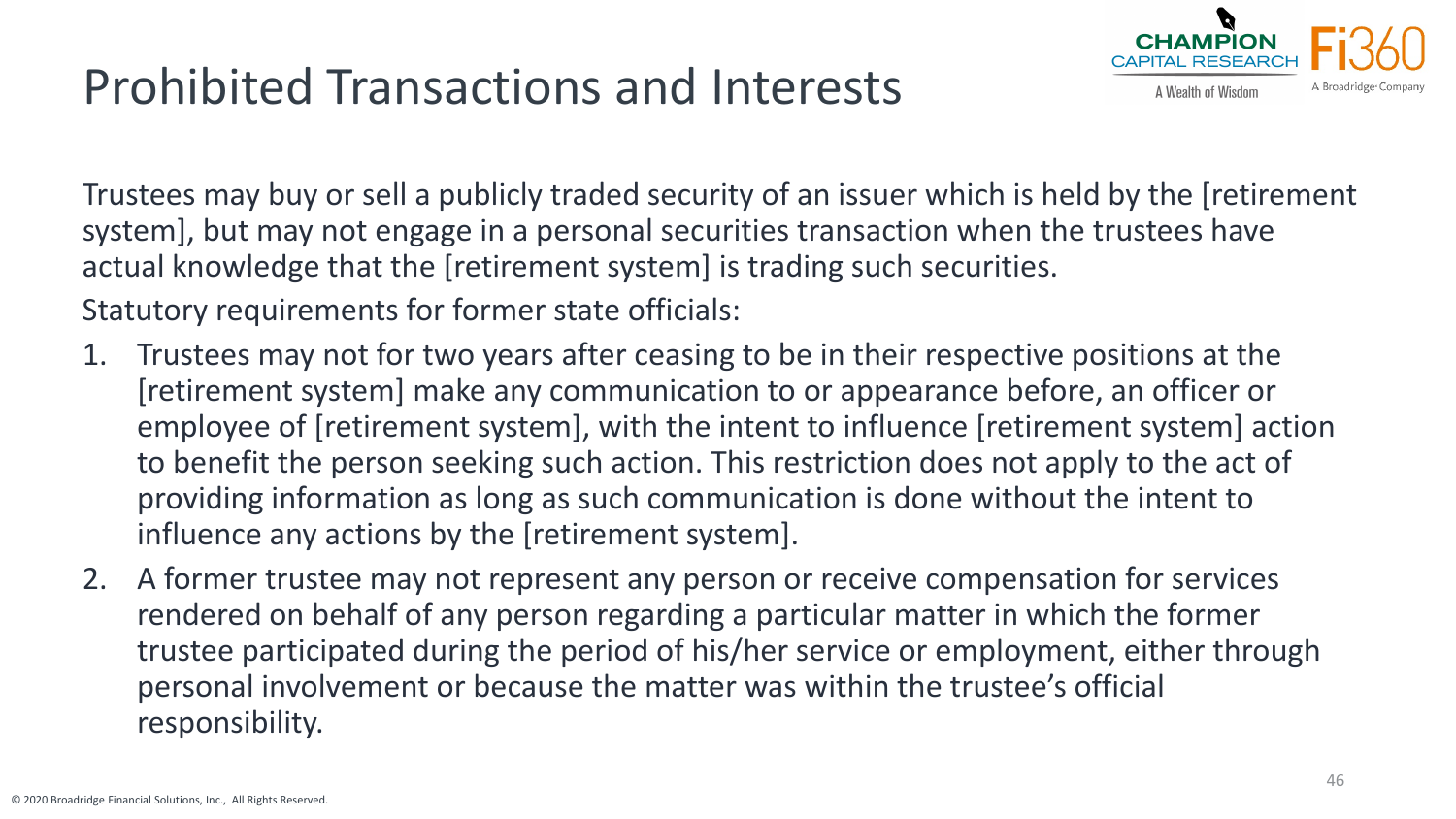# Prohibited Transactions and Interests



Trustees may buy or sell a publicly traded security of an issuer which is held by the [retirement system], but may not engage in a personal securities transaction when the trustees have actual knowledge that the [retirement system] is trading such securities.

Statutory requirements for former state officials:

- 1. Trustees may not for two years after ceasing to be in their respective positions at the [retirement system] make any communication to or appearance before, an officer or employee of [retirement system], with the intent to influence [retirement system] action to benefit the person seeking such action. This restriction does not apply to the act of providing information as long as such communication is done without the intent to influence any actions by the [retirement system].
- 2. A former trustee may not represent any person or receive compensation for services rendered on behalf of any person regarding a particular matter in which the former trustee participated during the period of his/her service or employment, either through personal involvement or because the matter was within the trustee's official responsibility.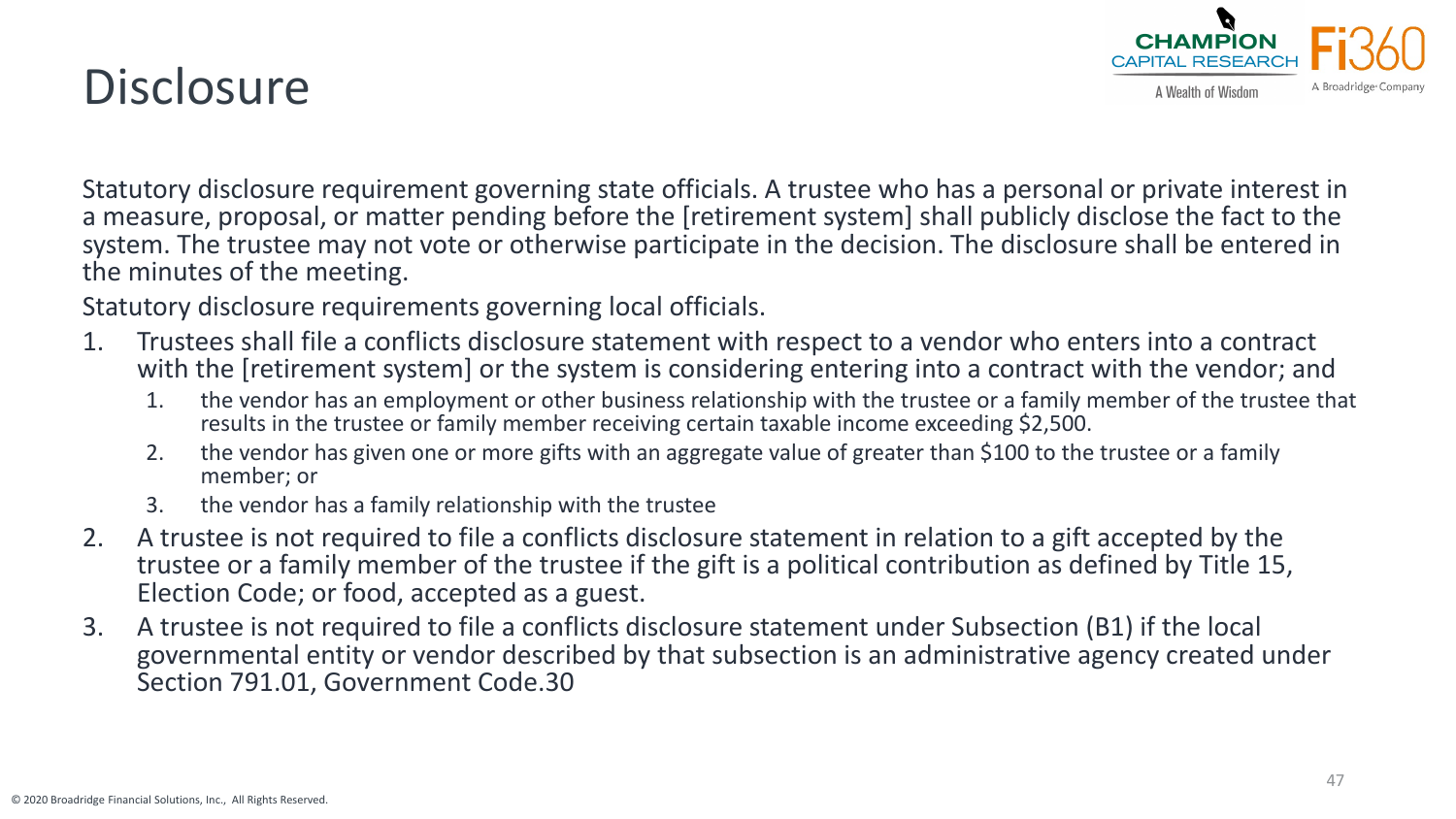# **Disclosure**



Statutory disclosure requirement governing state officials. A trustee who has a personal or private interest in a measure, proposal, or matter pending before the [retirement system] shall publicly disclose the fact to the system. The trustee may not vote or otherwise participate in the decision. The disclosure shall be entered in the minutes of the meeting.

Statutory disclosure requirements governing local officials.

- 1. Trustees shall file a conflicts disclosure statement with respect to a vendor who enters into a contract with the [retirement system] or the system is considering entering into a contract with the vendor; and
	- 1. the vendor has an employment or other business relationship with the trustee or a family member of the trustee that results in the trustee or family member receiving certain taxable income exceeding \$2,500.
	- 2. the vendor has given one or more gifts with an aggregate value of greater than \$100 to the trustee or a family member; or
	- 3. the vendor has a family relationship with the trustee
- 2. A trustee is not required to file a conflicts disclosure statement in relation to a gift accepted by the trustee or a family member of the trustee if the gift is a political contribution as defined by Title 15, Election Code; or food, accepted as a guest.
- 3. A trustee is not required to file a conflicts disclosure statement under Subsection (B1) if the local governmental entity or vendor described by that subsection is an administrative agency created under Section 791.01, Government Code.30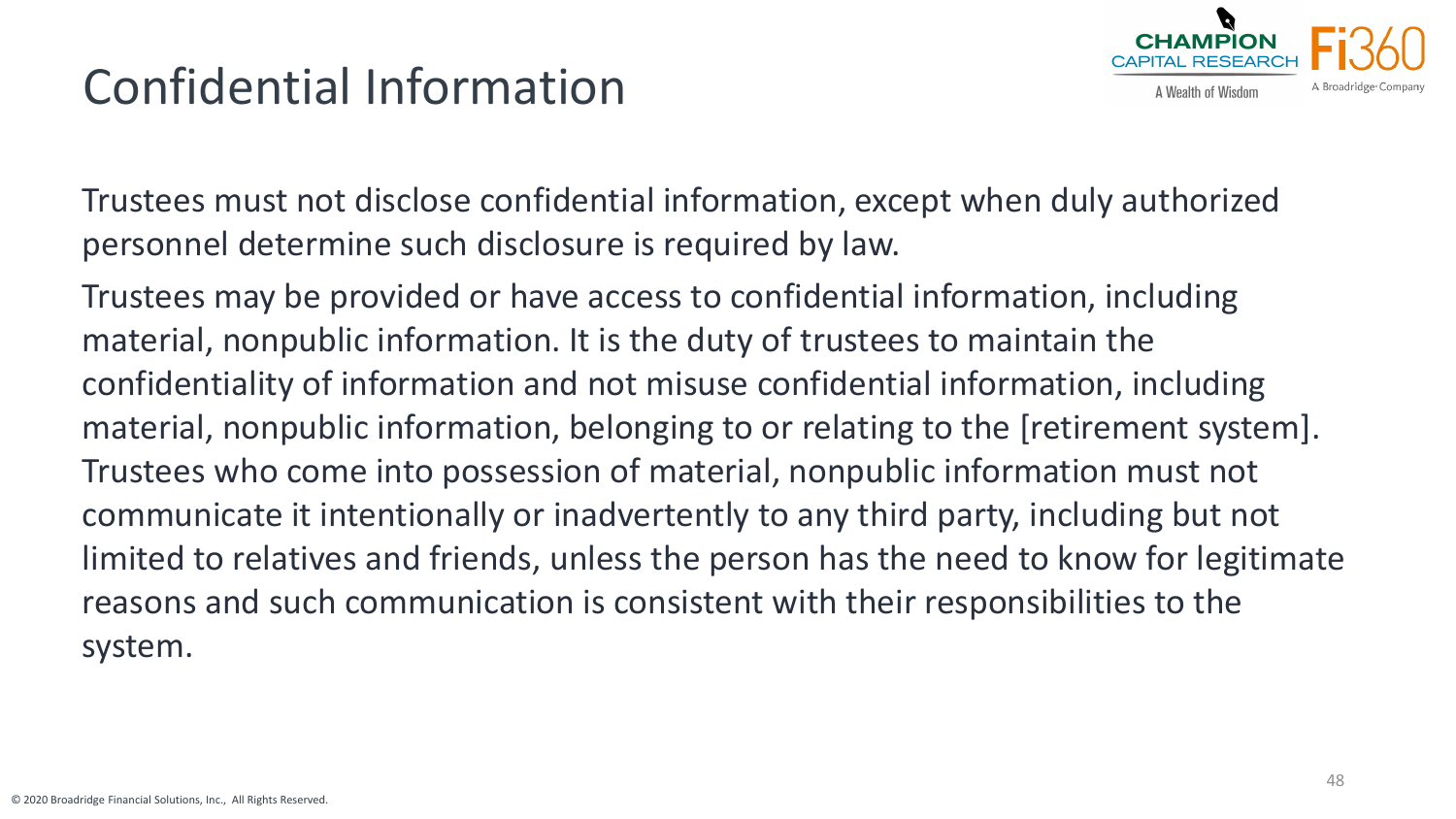# Confidential Information



Trustees must not disclose confidential information, except when duly authorized personnel determine such disclosure is required by law.

Trustees may be provided or have access to confidential information, including material, nonpublic information. It is the duty of trustees to maintain the confidentiality of information and not misuse confidential information, including material, nonpublic information, belonging to or relating to the [retirement system]. Trustees who come into possession of material, nonpublic information must not communicate it intentionally or inadvertently to any third party, including but not limited to relatives and friends, unless the person has the need to know for legitimate reasons and such communication is consistent with their responsibilities to the system.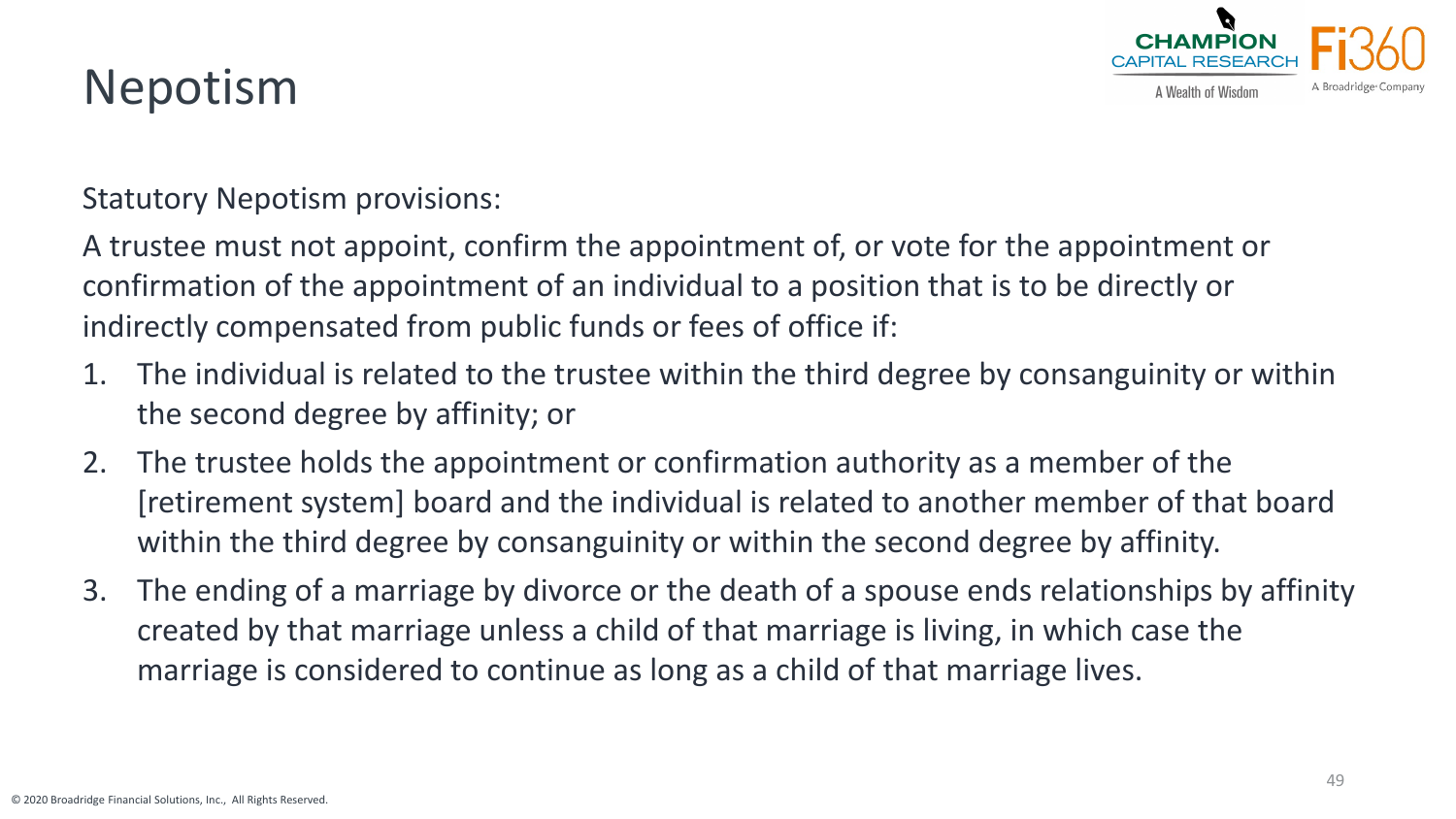

## Nepotism

Statutory Nepotism provisions:

A trustee must not appoint, confirm the appointment of, or vote for the appointment or confirmation of the appointment of an individual to a position that is to be directly or indirectly compensated from public funds or fees of office if:

- 1. The individual is related to the trustee within the third degree by consanguinity or within the second degree by affinity; or
- 2. The trustee holds the appointment or confirmation authority as a member of the [retirement system] board and the individual is related to another member of that board within the third degree by consanguinity or within the second degree by affinity.
- 3. The ending of a marriage by divorce or the death of a spouse ends relationships by affinity created by that marriage unless a child of that marriage is living, in which case the marriage is considered to continue as long as a child of that marriage lives.